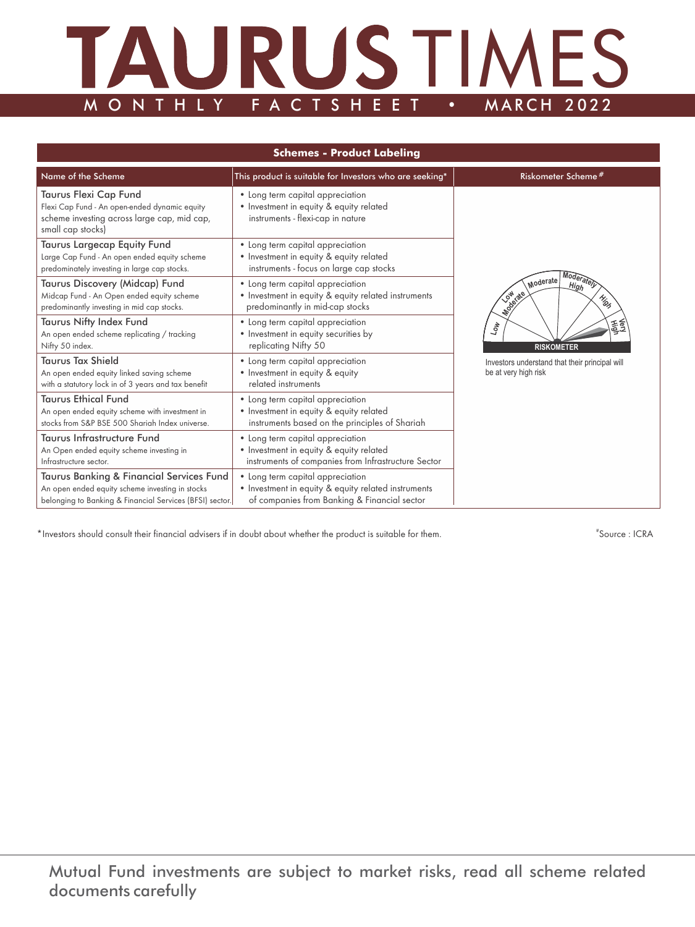# MONTHLY FACTSHEET . MARCH 2022 M O N T H L Y F A C T S H E E T

| <b>Schemes - Product Labeling</b>                                                                                                                       |                                                                                                                                         |                                                                        |  |  |
|---------------------------------------------------------------------------------------------------------------------------------------------------------|-----------------------------------------------------------------------------------------------------------------------------------------|------------------------------------------------------------------------|--|--|
| Name of the Scheme<br>This product is suitable for Investors who are seeking*                                                                           | Riskometer Scheme#                                                                                                                      |                                                                        |  |  |
| Taurus Flexi Cap Fund<br>Flexi Cap Fund - An open-ended dynamic equity<br>scheme investing across large cap, mid cap,<br>small cap stocks)              | • Long term capital appreciation<br>• Investment in equity & equity related<br>instruments - flexi-cap in nature                        |                                                                        |  |  |
| Taurus Largecap Equity Fund<br>Large Cap Fund - An open ended equity scheme<br>predominately investing in large cap stocks.                             | • Long term capital appreciation<br>• Investment in equity & equity related<br>instruments - focus on large cap stocks                  |                                                                        |  |  |
| Taurus Discovery (Midcap) Fund<br>Midcap Fund - An Open ended equity scheme<br>predominantly investing in mid cap stocks.                               | • Long term capital appreciation<br>• Investment in equity & equity related instruments<br>predominantly in mid-cap stocks              | Moderately<br>Moderate<br>High<br>Mariate<br>High                      |  |  |
| <b>Taurus Nifty Index Fund</b><br>An open ended scheme replicating / tracking<br>Nifty 50 index.                                                        | • Long term capital appreciation<br>• Investment in equity securities by<br>replicating Nifty 50                                        | 霞<br>$\tau_{\rm o}$<br><b>RISKOMETER</b>                               |  |  |
| <b>Taurus Tax Shield</b><br>An open ended equity linked saving scheme<br>with a statutory lock in of 3 years and tax benefit                            | • Long term capital appreciation<br>• Investment in equity & equity<br>related instruments                                              | Investors understand that their principal will<br>be at very high risk |  |  |
| <b>Taurus Ethical Fund</b><br>An open ended equity scheme with investment in<br>stocks from S&P BSE 500 Shariah Index universe.                         | • Long term capital appreciation<br>• Investment in equity & equity related<br>instruments based on the principles of Shariah           |                                                                        |  |  |
| <b>Taurus Infrastructure Fund</b><br>An Open ended equity scheme investing in<br>Infrastructure sector.                                                 | • Long term capital appreciation<br>• Investment in equity & equity related<br>instruments of companies from Infrastructure Sector      |                                                                        |  |  |
| Taurus Banking & Financial Services Fund<br>An open ended equity scheme investing in stocks<br>belonging to Banking & Financial Services (BFSI) sector. | • Long term capital appreciation<br>• Investment in equity & equity related instruments<br>of companies from Banking & Financial sector |                                                                        |  |  |

\*Investors should consult their financial advisers if in doubt about whether the product is suitable for them. #

Source : ICRA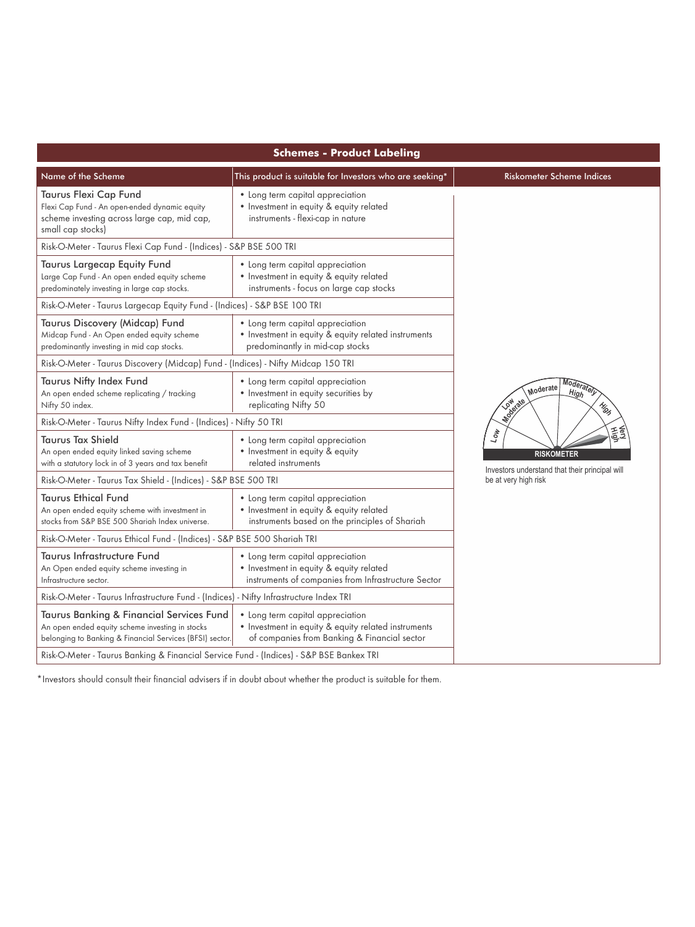| <b>Schemes - Product Labeling</b>                                                                                                                       |                                                                                                                                         |                                                                                 |  |  |
|---------------------------------------------------------------------------------------------------------------------------------------------------------|-----------------------------------------------------------------------------------------------------------------------------------------|---------------------------------------------------------------------------------|--|--|
| Name of the Scheme                                                                                                                                      | This product is suitable for Investors who are seeking*                                                                                 | <b>Riskometer Scheme Indices</b>                                                |  |  |
| Taurus Flexi Cap Fund<br>Flexi Cap Fund - An open-ended dynamic equity<br>scheme investing across large cap, mid cap,<br>small cap stocks)              | • Long term capital appreciation<br>• Investment in equity & equity related<br>instruments - flexi-cap in nature                        |                                                                                 |  |  |
| Risk-O-Meter - Taurus Flexi Cap Fund - (Indices) - S&P BSE 500 TRI                                                                                      |                                                                                                                                         |                                                                                 |  |  |
| <b>Taurus Largecap Equity Fund</b><br>Large Cap Fund - An open ended equity scheme<br>predominately investing in large cap stocks.                      | • Long term capital appreciation<br>• Investment in equity & equity related<br>instruments - focus on large cap stocks                  |                                                                                 |  |  |
| Risk-O-Meter - Taurus Largecap Equity Fund - (Indices) - S&P BSE 100 TRI                                                                                |                                                                                                                                         |                                                                                 |  |  |
| Taurus Discovery (Midcap) Fund<br>Midcap Fund - An Open ended equity scheme<br>predominantly investing in mid cap stocks.                               | • Long term capital appreciation<br>• Investment in equity & equity related instruments<br>predominantly in mid-cap stocks              |                                                                                 |  |  |
| Risk-O-Meter - Taurus Discovery (Midcap) Fund - (Indices) - Nifty Midcap 150 TRI                                                                        |                                                                                                                                         |                                                                                 |  |  |
| Taurus Nifty Index Fund<br>An open ended scheme replicating / tracking<br>Nifty 50 index.                                                               | • Long term capital appreciation<br>• Investment in equity securities by<br>replicating Nifty 50                                        | Moderately<br>Moderate<br>High<br><b>Low defate</b><br>Mig                      |  |  |
| Risk-O-Meter - Taurus Nifty Index Fund - (Indices) - Nifty 50 TRI                                                                                       |                                                                                                                                         |                                                                                 |  |  |
| <b>Taurus Tax Shield</b><br>An open ended equity linked saving scheme<br>with a statutory lock in of 3 years and tax benefit                            | • Long term capital appreciation<br>• Investment in equity & equity<br>related instruments                                              | 霞<br>404<br><b>RISKOMETER</b><br>Investors understand that their principal will |  |  |
| Risk-O-Meter - Taurus Tax Shield - (Indices) - S&P BSE 500 TRI                                                                                          |                                                                                                                                         | be at very high risk                                                            |  |  |
| <b>Taurus Ethical Fund</b><br>An open ended equity scheme with investment in<br>stocks from S&P BSE 500 Shariah Index universe.                         | • Long term capital appreciation<br>• Investment in equity & equity related<br>instruments based on the principles of Shariah           |                                                                                 |  |  |
| Risk-O-Meter - Taurus Ethical Fund - (Indices) - S&P BSE 500 Shariah TRI                                                                                |                                                                                                                                         |                                                                                 |  |  |
| Taurus Infrastructure Fund<br>An Open ended equity scheme investing in<br>Infrastructure sector.                                                        | • Long term capital appreciation<br>• Investment in equity & equity related<br>instruments of companies from Infrastructure Sector      |                                                                                 |  |  |
| Risk-O-Meter - Taurus Infrastructure Fund - (Indices) - Nifty Infrastructure Index TRI                                                                  |                                                                                                                                         |                                                                                 |  |  |
| Taurus Banking & Financial Services Fund<br>An open ended equity scheme investing in stocks<br>belonging to Banking & Financial Services (BFSI) sector. | • Long term capital appreciation<br>• Investment in equity & equity related instruments<br>of companies from Banking & Financial sector |                                                                                 |  |  |
| Risk-O-Meter - Taurus Banking & Financial Service Fund - (Indices) - S&P BSE Bankex TRI                                                                 |                                                                                                                                         |                                                                                 |  |  |

\*Investors should consult their financial advisers if in doubt about whether the product is suitable for them.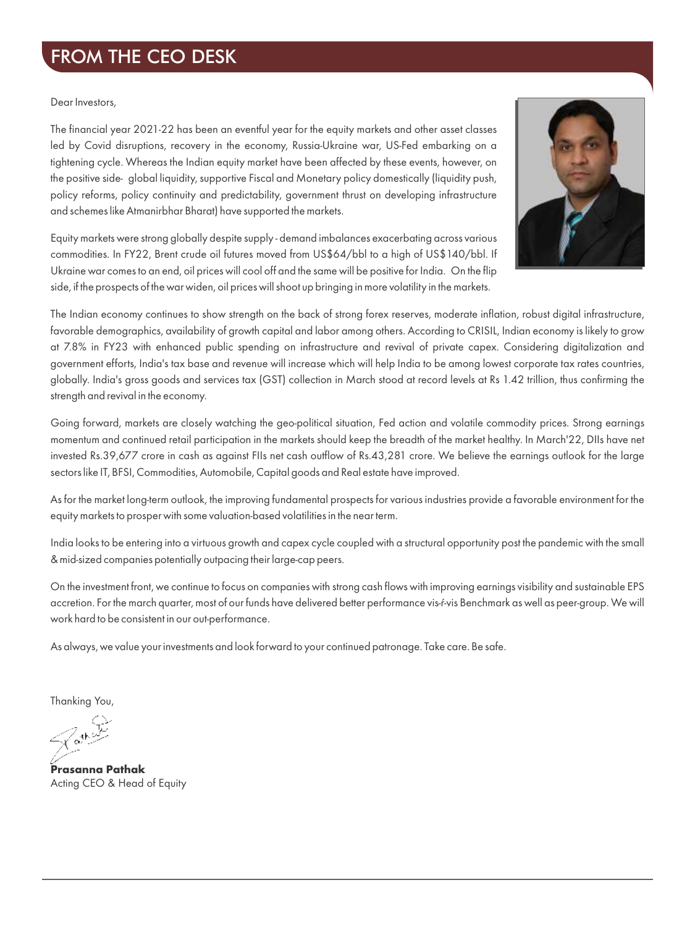## FROM THE CEO DESK

#### Dear Investors,

The financial year 2021-22 has been an eventful year for the equity markets and other asset classes led by Covid disruptions, recovery in the economy, Russia-Ukraine war, US-Fed embarking on a tightening cycle. Whereas the Indian equity market have been affected by these events, however, on the positive side- global liquidity, supportive Fiscal and Monetary policy domestically (liquidity push, policy reforms, policy continuity and predictability, government thrust on developing infrastructure and schemes like Atmanirbhar Bharat) have supported the markets.



Equity markets were strong globally despite supply - demand imbalances exacerbating across various commodities. In FY22, Brent crude oil futures moved from US\$64/bbl to a high of US\$140/bbl. If Ukraine war comes to an end, oil prices will cool off and the same will be positive for India. On the flip side, if the prospects of the war widen, oil prices will shoot up bringing in more volatility in the markets.

The Indian economy continues to show strength on the back of strong forex reserves, moderate inflation, robust digital infrastructure, favorable demographics, availability of growth capital and labor among others. According to CRISIL, Indian economy is likely to grow at 7.8% in FY23 with enhanced public spending on infrastructure and revival of private capex. Considering digitalization and government efforts, India's tax base and revenue will increase which will help India to be among lowest corporate tax rates countries, globally. India's gross goods and services tax (GST) collection in March stood at record levels at Rs 1.42 trillion, thus confirming the strength and revival in the economy.

Going forward, markets are closely watching the geo-political situation, Fed action and volatile commodity prices. Strong earnings momentum and continued retail participation in the markets should keep the breadth of the market healthy. In March'22, DIIs have net invested Rs.39,677 crore in cash as against FIIs net cash outflow of Rs.43,281 crore. We believe the earnings outlook for the large sectors like IT, BFSI, Commodities, Automobile, Capital goods and Real estate have improved.

As for the market long-term outlook, the improving fundamental prospects for various industries provide a favorable environment for the equity markets to prosper with some valuation-based volatilities in the near term.

India looks to be entering into a virtuous growth and capex cycle coupled with a structural opportunity post the pandemic with the small & mid-sized companies potentially outpacing their large-cap peers.

On the investment front, we continue to focus on companies with strong cash flows with improving earnings visibility and sustainable EPS accretion. For the march quarter, most of our funds have delivered better performance vis-f-vis Benchmark as well as peer-group. We will work hard to be consistent in our out-performance.

As always, we value your investments and look forward to your continued patronage. Take care. Be safe.

Thanking You,

Acting CEO & Head of Equity **Prasanna Pathak**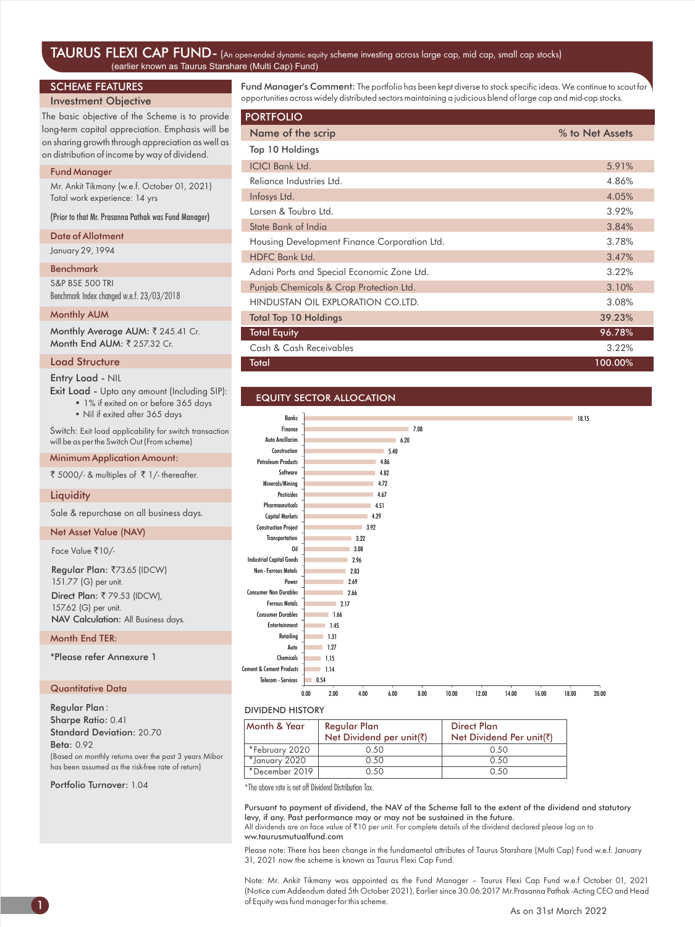#### TAURUS FLEXI CAP FUND-(An open-ended dynamic equity scheme investing across large cap, mid cap, small cap stocks) (earlier known as Taurus Starshare (Multi Cap) Fund)

#### SCHEME FEATURES

#### Investment Objective

The basic objective of the Scheme is to provide long-term capital appreciation. Emphasis will be on sharing growth through appreciation as well as on distribution of income by way of dividend.

#### Fund Manager

Mr. Ankit Tikmany (w.e.f. October 01, 2021) Total work experience: 14 yrs

(Prior to that Mr. Prasanna Pathak was Fund Manager)

#### Date of Allotment

January 29, 1994

#### Benchmark

S&P BSE 500 TRI Benchmark Index changed w.e.f. 23/03/2018

#### Monthly AUM

Month End AUM: ₹ 257.32 Cr. Monthly Average AUM: ₹ 245.41 Cr.

#### Load Structure

Entry Load - NIL

Exit Load - Upto any amount (Including SIP):

• 1% if exited on or before 365 days

• Nil if exited after 365 days

Switch: Exit load applicability for switch transaction will be as per the Switch Out (From scheme)

#### Minimum Application Amount:

₹ 5000/- & multiples of  $\bar{\tau}$  1/- thereafter.

#### **Liquidity**

Sale & repurchase on all business days.

#### Net Asset Value (NAV)

Face Value ₹10/-

Regular Plan: ₹73.65 (IDCW) 151.77 (G) per unit. Direct Plan: ₹79.53 (IDCW), 157.62 (G) per unit. NAV Calculation: All Business days.

#### Month End TER:

\*Please refer Annexure 1

#### Quantitative Data

Regular Plan : Sharpe Ratio: 0.41 Standard Deviation: 20.70 Beta: 0.92 (Based on monthly returns over the past 3 years Mibor has been assumed as the risk-free rate of return)

Portfolio Turnover: 1.04

Fund Manager's Comment: The portfolio has been kept diverse to stock specific ideas. We continue to scout for opportunities across widely distributed sectors maintaining a judicious blend of large cap and mid-cap stocks.

| <b>PORTFOLIO</b>                             |                 |
|----------------------------------------------|-----------------|
| Name of the scrip                            | % to Net Assets |
| Top 10 Holdings                              |                 |
| <b>ICICI Bank Ltd.</b>                       | 5.91%           |
| Reliance Industries Ltd.                     | 4.86%           |
| Infosys Ltd.                                 | 4.05%           |
| Larsen & Toubro Ltd.                         | 3.92%           |
| State Bank of India                          | 3.84%           |
| Housing Development Finance Corporation Ltd. | 3.78%           |
| HDFC Bank Ltd.                               | 3.47%           |
| Adani Ports and Special Economic Zone Ltd.   | 3.22%           |
| Punjab Chemicals & Crop Protection Ltd.      | 3.10%           |
| HINDUSTAN OIL EXPLORATION CO.LTD.            | 3.08%           |
| <b>Total Top 10 Holdings</b>                 | 39.23%          |
| <b>Total Equity</b>                          | 96.78%          |
| Cash & Cash Receivables                      | 3.22%           |
| Total                                        | 100.00%         |

#### EQUITY SECTOR ALLOCATION



#### DIVIDEND HISTORY

| Month & Year   | Regular Plan<br>Net Dividend per unit(₹) | <b>Direct Plan</b><br>Net Dividend Per unit(₹) |
|----------------|------------------------------------------|------------------------------------------------|
| *February 2020 | 0.50                                     | 0.50                                           |
| *January 2020  | 0.50                                     | 0.50                                           |
| *December 2019 | 0.50                                     | 0.50                                           |

\*The above rate is net off Dividend Distribution Tax.

Pursuant to payment of dividend, the NAV of the Scheme fall to the extent of the dividend and statutory levy, if any. Past performance may or may not be sustained in the future.

All dividends are on face value of `10 per unit. For complete details of the dividend declared please log on to ww.taurusmutualfund.com

Please note: There has been change in the fundamental attributes of Taurus Starshare (Multi Cap) Fund w.e.f. January 31, 2021 now the scheme is known as Taurus Flexi Cap Fund.

Note: Mr. Ankit Tikmany was appointed as the Fund Manager – Taurus Flexi Cap Fund w.e.f October 01, 2021 (Notice cum Addendum dated 5th October 2021), Earlier since 30.06.2017 Mr.Prasanna Pathak -Acting CEO and Head of Equity was fund manager for this scheme.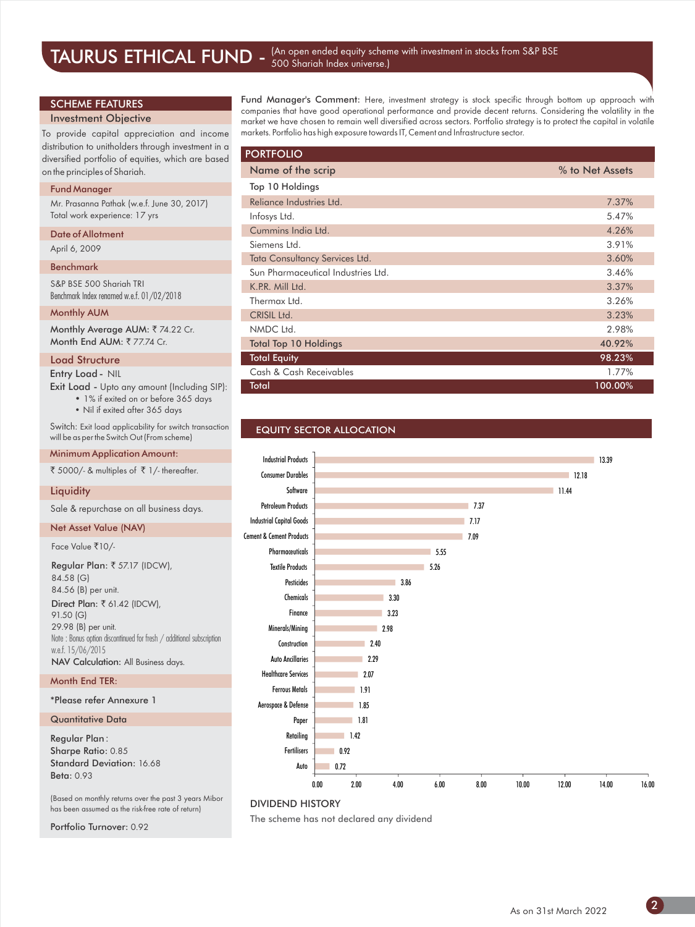#### TAURUS ETHICAL FUND - (An open ended equity scheme with investment in stocks from S&P BSE 500 Shariah Index universe.)

#### SCHEME FEATURES

#### Investment Objective

To provide capital appreciation and income distribution to unitholders through investment in a diversified portfolio of equities, which are based on the principles of Shariah.

#### Fund Manager

Mr. Prasanna Pathak (w.e.f. June 30, 2017) Total work experience: 17 yrs

Date of Allotment

### April 6, 2009

#### Benchmark

S&P BSE 500 Shariah TRI Benchmark Index renamed w.e.f. 01/02/2018

#### Monthly AUM

Monthly Average AUM: ₹74.22 Cr. Month End AUM: ₹77.74 Cr.

#### Load Structure

Entry Load - NIL

Exit Load - Upto any amount (Including SIP): • 1% if exited on or before 365 days

• Nil if exited after 365 days

Switch: Exit load applicability for switch transaction will be as per the Switch Out (From scheme)

#### Minimum Application Amount:

₹ 5000/- & multiples of  $\bar{\tau}$  1/- thereafter.

#### **Liquidity**

Sale & repurchase on all business days.

#### Net Asset Value (NAV)

Face Value ₹10/-

Direct Plan: ₹ 61.42 (IDCW), 91.50 (G) 29.98 (B) per unit. Note : Bonus option discontinued for fresh / additional subscription w.e.f. 15/06/2015 NAV Calculation: All Business days. Regular Plan: ₹ 57.17 (IDCW), 84.58 (G) 84.56 (B) per unit.

#### Month End TER:

\*Please refer Annexure 1

#### Quantitative Data

Regular Plan : Sharpe Ratio: 0.85 Standard Deviation: 16.68 Beta: 0.93

(Based on monthly returns over the past 3 years Mibor has been assumed as the risk-free rate of return)

Portfolio Turnover: 0.92

Fund Manager's Comment: Here, investment strategy is stock specific through bottom up approach with companies that have good operational performance and provide decent returns. Considering the volatility in the market we have chosen to remain well diversified across sectors. Portfolio strategy is to protect the capital in volatile markets. Portfolio has high exposure towards IT, Cement and Infrastructure sector.

| <b>PORTFOLIO</b>                   |                 |
|------------------------------------|-----------------|
| Name of the scrip                  | % to Net Assets |
| Top 10 Holdings                    |                 |
| Relignce Industries Ltd.           | 7.37%           |
| Infosys Ltd.                       | 5.47%           |
| Cummins India Ltd.                 | 4.26%           |
| Siemens Ltd.                       | 3.91%           |
| Tata Consultancy Services Ltd.     | 3.60%           |
| Sun Pharmaceutical Industries Ltd. | 3.46%           |
| K.P.R. Mill Ltd.                   | 3.37%           |
| Thermax Ltd.                       | 3.26%           |
| CRISIL Ltd.                        | 3.23%           |
| NMDC Ltd.                          | 2.98%           |
| <b>Total Top 10 Holdings</b>       | 40.92%          |
| <b>Total Equity</b>                | 98.23%          |
| Cash & Cash Receivables            | 1.77%           |
| Total                              | 100.00%         |

#### EQUITY SECTOR ALLOCATION



#### DIVIDEND HISTORY

The scheme has not declared any dividend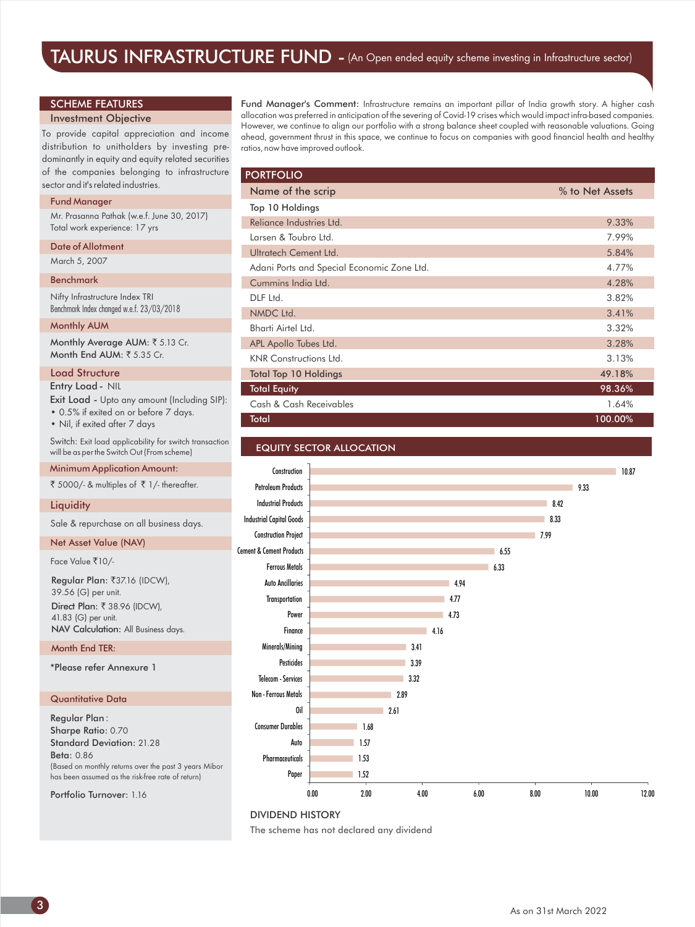## TAURUS INFRASTRUCTURE FUND - (An Open ended equity scheme investing in Infrastructure sector)

#### SCHEME FEATURES

#### Investment Objective

To provide capital appreciation and income distribution to unitholders by investing predominantly in equity and equity related securities of the companies belonging to infrastructure sector and it's related industries.

#### Fund Manager

Mr. Prasanna Pathak (w.e.f. June 30, 2017) Total work experience: 17 yrs

#### Date of Allotment

March 5, 2007

#### Benchmark

Nifty Infrastructure Index TRI Benchmark Index changed w.e.f. 23/03/2018

#### Monthly AUM

Monthly Average AUM: ₹5.13 Cr. Month End AUM:  $\overline{5}$  5.35 Cr.

#### Load Structure

Exit Load - Upto any amount (Including SIP): Entry Load - NIL

• 0.5% if exited on or before 7 days.

• Nil, if exited after 7 days

Switch: Exit load applicability for switch transaction will be as per the Switch Out (From scheme)

#### Minimum Application Amount:

 $\bar{5}$  5000/- & multiples of  $\bar{5}$  1/- thereafter.

#### **Liquidity**

Sale & repurchase on all business days.

#### Net Asset Value (NAV)

Face Value ₹10/-

Direct Plan: ₹ 38.96 (IDCW), 41.83 (G) per unit. NAV Calculation: All Business days. Regular Plan: ₹37.16 (IDCW), 39.56 (G) per unit.

Month End TER:

\*Please refer Annexure 1

#### Quantitative Data

Regular Plan : Sharpe Ratio: 0.70 Standard Deviation: 21.28 Beta: 0.86 (Based on monthly returns over the past 3 years Mibor has been assumed as the risk-free rate of return)

Portfolio Turnover: 1.16

Fund Manager's Comment: Infrastructure remains an important pillar of India growth story. A higher cash allocation was preferred in anticipation of the severing of Covid-19 crises which would impact infra-based companies. However, we continue to align our portfolio with a strong balance sheet coupled with reasonable valuations. Going ahead, government thrust in this space, we continue to focus on companies with good financial health and healthy ratios, now have improved outlook.

| <b>PORTFOLIO</b>                           |                 |
|--------------------------------------------|-----------------|
| Name of the scrip                          | % to Net Assets |
| Top 10 Holdings                            |                 |
| Relignce Industries Ltd.                   | 9.33%           |
| Larsen & Toubro Ltd.                       | 7.99%           |
| Ultratech Cement Ltd.                      | 5.84%           |
| Adani Ports and Special Economic Zone Ltd. | 4.77%           |
| Cummins India Ltd.                         | 4.28%           |
| DLF Ltd.                                   | 3.82%           |
| NMDC Ltd.                                  | 3.41%           |
| Bharti Airtel Ltd.                         | 3.32%           |
| APL Apollo Tubes Ltd.                      | 3.28%           |
| <b>KNR</b> Constructions Ltd.              | 3.13%           |
| <b>Total Top 10 Holdings</b>               | 49.18%          |
| <b>Total Equity</b>                        | 98.36%          |
| Cash & Cash Receivables                    | 1.64%           |
| Total                                      | 100.00%         |





#### DIVIDEND HISTORY

The scheme has not declared any dividend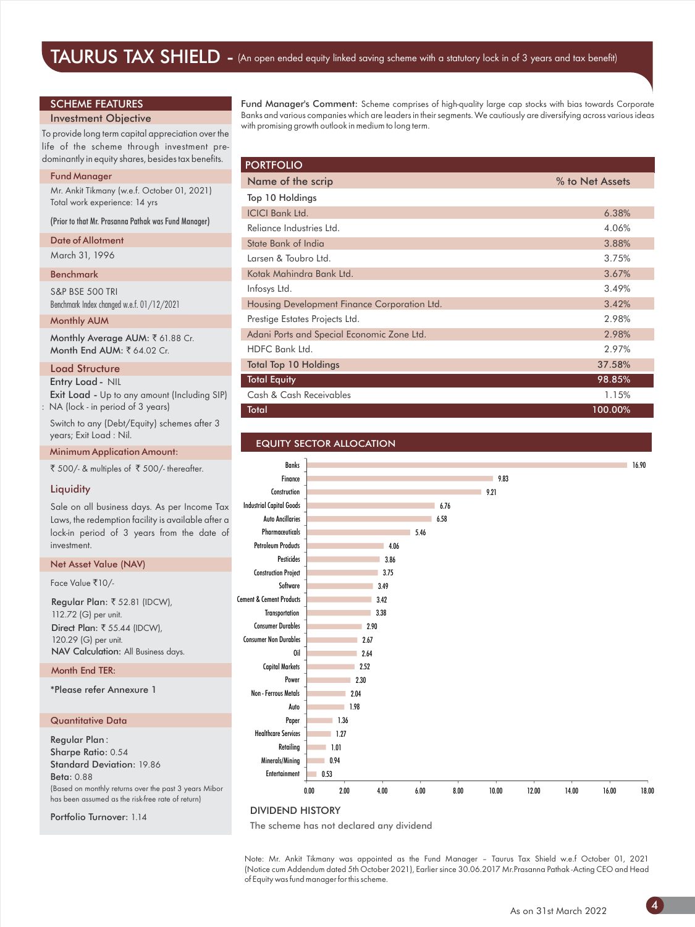#### SCHEME FEATURES

#### Investment Objective

To provide long term capital appreciation over the life of the scheme through investment predominantly in equity shares, besides tax benefits.

#### Fund Manager

Mr. Ankit Tikmany (w.e.f. October 01, 2021) Total work experience: 14 yrs

(Prior to that Mr. Prasanna Pathak was Fund Manager)

#### Date of Allotment

March 31, 1996

#### Benchmark

S&P BSE 500 TRI Benchmark Index changed w.e.f. 01/12/2021

#### Monthly AUM

Monthly Average AUM: ₹61.88 Cr. Month End AUM: ₹64.02 Cr.

#### Load Structure

Entry Load - NIL

Exit Load - Up to any amount (Including SIP) NA (lock - in period of 3 years)

Switch to any (Debt/Equity) schemes after 3 years; Exit Load : Nil.

Minimum Application Amount:

₹ 500/- & multiples of ₹ 500/- thereafter.

#### **Liquidity**

Sale on all business days. As per Income Tax Laws, the redemption facility is available after a lock-in period of 3 years from the date of investment.

#### Net Asset Value (NAV)

Face Value ₹10/-

Direct Plan: ₹ 55.44 (IDCW), 120.29 (G) per unit. NAV Calculation: All Business days. Regular Plan: ₹ 52.81 (IDCW), 112.72 (G) per unit.

#### Month End TER:

\*Please refer Annexure 1

#### Quantitative Data

Regular Plan : Sharpe Ratio: 0.54 Standard Deviation: 19.86 Beta: 0.88 (Based on monthly returns over the past 3 years Mibor has been assumed as the risk-free rate of return)

Portfolio Turnover: 1.14

Fund Manager's Comment: Scheme comprises of high-quality large cap stocks with bias towards Corporate Banks and various companies which are leaders in their segments. We cautiously are diversifying across various ideas with promising growth outlook in medium to long term.

| <b>PORTFOLIO</b>                             |                 |
|----------------------------------------------|-----------------|
| Name of the scrip                            | % to Net Assets |
| Top 10 Holdings                              |                 |
| <b>ICICI Bank Ltd.</b>                       | 6.38%           |
| Reliance Industries Ltd.                     | 4.06%           |
| State Bank of India                          | 3.88%           |
| Larsen & Toubro Ltd.                         | 3.75%           |
| Kotak Mahindra Bank Ltd.                     | 3.67%           |
| Infosys Ltd.                                 | 3.49%           |
| Housing Development Finance Corporation Ltd. | 3.42%           |
| Prestige Estates Projects Ltd.               | 2.98%           |
| Adani Ports and Special Economic Zone Ltd.   | 2.98%           |
| HDFC Bank Ltd.                               | 2.97%           |
| <b>Total Top 10 Holdings</b>                 | 37.58%          |
| <b>Total Equity</b>                          | 98.85%          |
| Cash & Cash Receivables                      | 1.15%           |
| Total                                        | 100.00%         |

#### EQUITY SECTOR ALLOCATION



#### DIVIDEND HISTORY

The scheme has not declared any dividend

Note: Mr. Ankit Tikmany was appointed as the Fund Manager – Taurus Tax Shield w.e.f October 01, 2021 (Notice cum Addendum dated 5th October 2021), Earlier since 30.06.2017 Mr.Prasanna Pathak -Acting CEO and Head of Equity was fund manager for this scheme.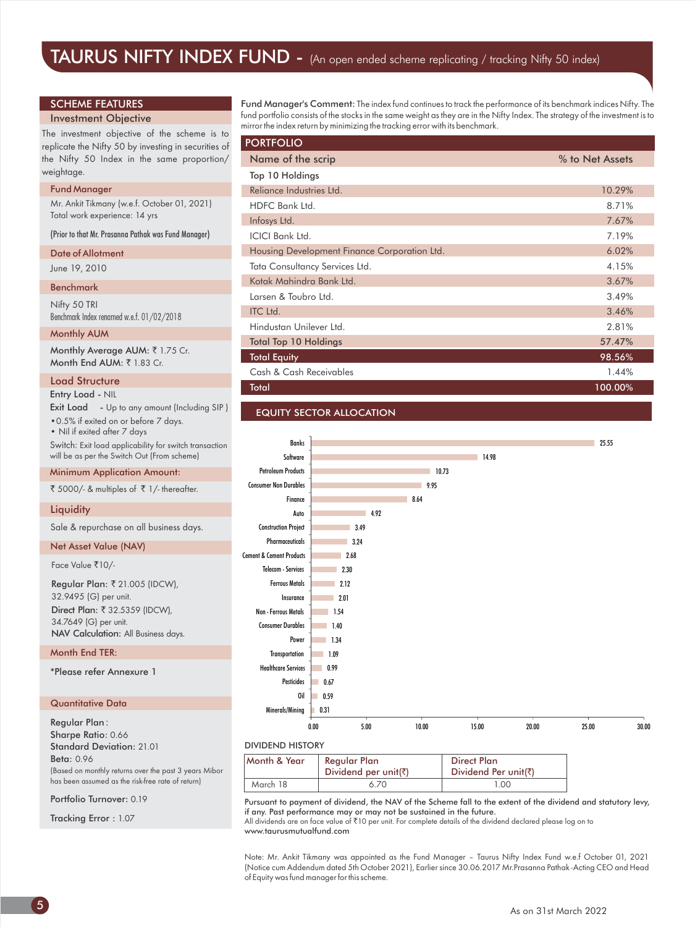#### SCHEME FEATURES

#### Investment Objective

The investment objective of the scheme is to replicate the Nifty 50 by investing in securities of the Nifty 50 Index in the same proportion/ weightage.

#### Fund Manager

Mr. Ankit Tikmany (w.e.f. October 01, 2021) Total work experience: 14 yrs

(Prior to that Mr. Prasanna Pathak was Fund Manager)

#### Date of Allotment

#### June 19, 2010

Benchmark

Nifty 50 TRI Benchmark Index renamed w.e.f. 01/02/2018

#### Monthly AUM

Monthly Average AUM: ₹ 1.75 Cr. Month End AUM:  $\overline{z}$  1.83 Cr.

#### Load Structure

Entry Load - NIL

| <b>Exit Load</b> - Up to any amount (Including SIP) |  |
|-----------------------------------------------------|--|
| • 0.5% if exited on or before 7 days.               |  |

• Nil if exited after 7 days

Switch: Exit load applicability for switch transaction will be as per the Switch Out (From scheme)

#### Minimum Application Amount:

₹ 5000/- & multiples of  $\bar{\tau}$  1/- thereafter.

#### **Liquidity**

Sale & repurchase on all business days.

#### Net Asset Value (NAV)

Face Value ₹10/-

Direct Plan: ₹ 32.5359 (IDCW), 34.7649 (G) per unit. Regular Plan: ₹ 21.005 (IDCW), 32.9495 (G) per unit. NAV Calculation: All Business days.

#### Month End TER:

\*Please refer Annexure 1

#### Quantitative Data

Regular Plan : Sharpe Ratio: 0.66 Standard Deviation: 21.01 Beta: 0.96 (Based on monthly returns over the past 3 years Mibor has been assumed as the risk-free rate of return)

Portfolio Turnover: 0.19

Tracking Error : 1.07

Fund Manager's Comment: The index fund continues to track the performance of its benchmark indices Nifty. The fund portfolio consists of the stocks in the same weight as they are in the Nifty Index. The strategy of the investment is to mirror the index return by minimizing the tracking error with its benchmark.

| <b>PORTFOLIO</b>                             |                 |
|----------------------------------------------|-----------------|
| Name of the scrip                            | % to Net Assets |
| Top 10 Holdings                              |                 |
| Reliance Industries Ltd.                     | 10.29%          |
| HDFC Bank Ltd.                               | 8.71%           |
| Infosys Ltd.                                 | 7.67%           |
| <b>ICICI Bank Ltd.</b>                       | 7.19%           |
| Housing Development Finance Corporation Ltd. | 6.02%           |
| Tata Consultancy Services Ltd.               | 4.15%           |
| Kotak Mahindra Bank Ltd.                     | 3.67%           |
| Larsen & Toubro Ltd.                         | 3.49%           |
| <b>ITC Ltd.</b>                              | 3.46%           |
| Hindustan Unilever Ltd.                      | 2.81%           |
| <b>Total Top 10 Holdings</b>                 | 57.47%          |
| <b>Total Equity</b>                          | 98.56%          |
| Cash & Cash Receivables                      | 1.44%           |
| Total                                        | 100.00%         |

#### EQUITY SECTOR ALLOCATION



| Month & Year | Regular Plan<br>Dividend per unit( $\bar{z}$ ) | <b>Direct Plan</b><br>Dividend Per unit(₹) |  |
|--------------|------------------------------------------------|--------------------------------------------|--|
| March 18     | 6.70                                           | 1.00                                       |  |

Pursuant to payment of dividend, the NAV of the Scheme fall to the extent of the dividend and statutory levy, if any. Past performance may or may not be sustained in the future.

All dividends are on face value of ₹10 per unit. For complete details of the dividend declared please log on to www.taurusmutualfund.com

Note: Mr. Ankit Tikmany was appointed as the Fund Manager – Taurus Nifty Index Fund w.e.f October 01, 2021 (Notice cum Addendum dated 5th October 2021), Earlier since 30.06.2017 Mr.Prasanna Pathak -Acting CEO and Head of Equity was fund manager for this scheme.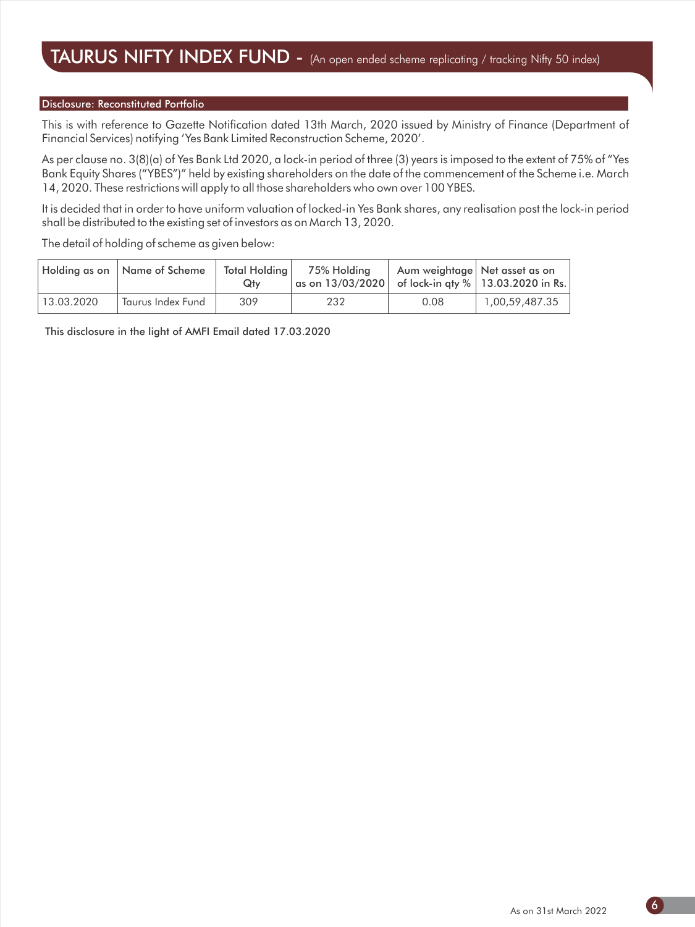#### Disclosure: Reconstituted Portfolio

This is with reference to Gazette Notification dated 13th March, 2020 issued by Ministry of Finance (Department of Financial Services) notifying 'Yes Bank Limited Reconstruction Scheme, 2020'.

As per clause no. 3(8)(a) of Yes Bank Ltd 2020, a lock-in period of three (3) years is imposed to the extent of 75% of "Yes Bank Equity Shares ("YBES")" held by existing shareholders on the date of the commencement of the Scheme i.e. March 14, 2020. These restrictions will apply to all those shareholders who own over 100 YBES.

It is decided that in order to have uniform valuation of locked-in Yes Bank shares, any realisation post the lock-in period shall be distributed to the existing set of investors as on March 13, 2020.

The detail of holding of scheme as given below:

|            | Holding as on   Name of Scheme | Total Holding<br>Qtv | 75% Holding<br>$\mid$ as on 13/03/2020 $\mid\mid$ of lock-in aty $\%$ $\mid$ 13.03.2020 in Rs. $\mid$ |      | Aum weightage Net asset as on |
|------------|--------------------------------|----------------------|-------------------------------------------------------------------------------------------------------|------|-------------------------------|
| 13.03.2020 | Taurus Index Fund              | 309                  | 232                                                                                                   | 0.08 | 1,00,59,487.35                |

This disclosure in the light of AMFI Email dated 17.03.2020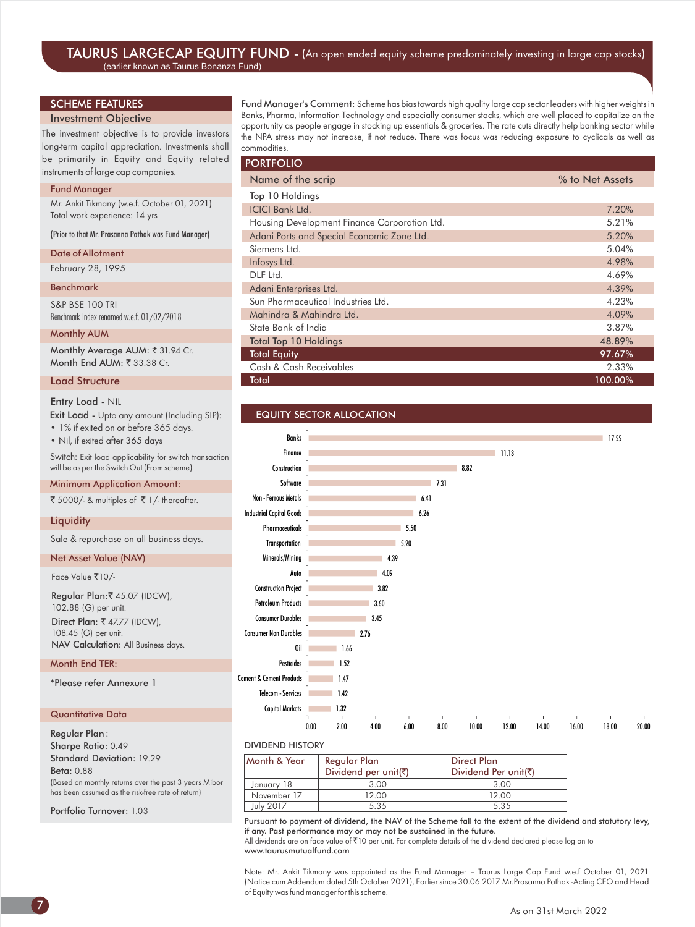#### TAURUS LARGECAP EQUITY FUND - (An open ended equity scheme predominately investing in large cap stocks) (earlier known as Taurus Bonanza Fund)

#### SCHEME FEATURES

#### Investment Objective

The investment objective is to provide investors long-term capital appreciation. Investments shall be primarily in Equity and Equity related instruments of large cap companies.

#### Fund Manager

Mr. Ankit Tikmany (w.e.f. October 01, 2021) Total work experience: 14 yrs

(Prior to that Mr. Prasanna Pathak was Fund Manager)

#### Date of Allotment

February 28, 1995

#### Benchmark

S&P BSE 100 TRI Benchmark Index renamed w.e.f. 01/02/2018

#### Monthly AUM

Monthly Average AUM: ₹ 31.94 Cr. Month End AUM: ₹ 33.38 Cr.

#### Load Structure

#### Entry Load - NIL

• 1% if exited on or before 365 days. Exit Load - Upto any amount (Including SIP):

• Nil, if exited after 365 days

Switch: Exit load applicability for switch transaction will be as per the Switch Out (From scheme)

#### Minimum Application Amount:

₹ 5000/- & multiples of  $\bar{x}$  1/- thereafter.

#### **Liquidity**

Sale & repurchase on all business days.

#### Net Asset Value (NAV)

Face Value ₹10/-

Regular Plan:₹ 45.07 (IDCW), 102.88 (G) per unit. NAV Calculation: All Business days. Direct Plan:  $\overline{\xi}$  47.77 (IDCW), 108.45 (G) per unit.

#### Month End TER:

\*Please refer Annexure 1

#### Quantitative Data

Regular Plan : Sharpe Ratio: 0.49 Standard Deviation: 19.29 Beta: 0.88 (Based on monthly returns over the past 3 years Mibor has been assumed as the risk-free rate of return)

Portfolio Turnover: 1.03

Fund Manager's Comment: Scheme has bias towards high quality large cap sector leaders with higher weights in Banks, Pharma, Information Technology and especially consumer stocks, which are well placed to capitalize on the opportunity as people engage in stocking up essentials & groceries. The rate cuts directly help banking sector while the NPA stress may not increase, if not reduce. There was focus was reducing exposure to cyclicals as well as commodities.

| <b>PORTFOLIO</b>                             |                 |
|----------------------------------------------|-----------------|
| Name of the scrip                            | % to Net Assets |
| Top 10 Holdings                              |                 |
| <b>ICICI Bank Ltd.</b>                       | 7.20%           |
| Housing Development Finance Corporation Ltd. | 5.21%           |
| Adani Ports and Special Economic Zone Ltd.   | 5.20%           |
| Siemens I td.                                | 5.04%           |
| Infosys Ltd.                                 | 4.98%           |
| DLF Ltd.                                     | 4.69%           |
| Adani Enterprises Ltd.                       | 4.39%           |
| Sun Pharmaceutical Industries Ltd.           | 4.23%           |
| Mahindra & Mahindra Ltd.                     | 4.09%           |
| State Bank of India                          | 3.87%           |
| <b>Total Top 10 Holdings</b>                 | 48.89%          |
| <b>Total Equity</b>                          | 97.67%          |
| Cash & Cash Receivables                      | 2.33%           |
| Total                                        | 100.00%         |

#### EQUITY SECTOR ALLOCATION



#### DIVIDEND HISTORY

| Month & Year | Regular Plan         | Direct Plan          |
|--------------|----------------------|----------------------|
|              | Dividend per unit(₹) | Dividend Per unit(₹) |
| January 18   | 3.00                 | 3.00                 |
| November 17  | 12.00                | 12.00                |
| July 2017    | 5.35                 | 5.35                 |

Pursuant to payment of dividend, the NAV of the Scheme fall to the extent of the dividend and statutory levy, if any. Past performance may or may not be sustained in the future.

All dividends are on face value of ₹10 per unit. For complete details of the dividend declared please log on to www.taurusmutualfund.com

Note: Mr. Ankit Tikmany was appointed as the Fund Manager – Taurus Large Cap Fund w.e.f October 01, 2021 (Notice cum Addendum dated 5th October 2021), Earlier since 30.06.2017 Mr.Prasanna Pathak -Acting CEO and Head of Equity was fund manager for this scheme.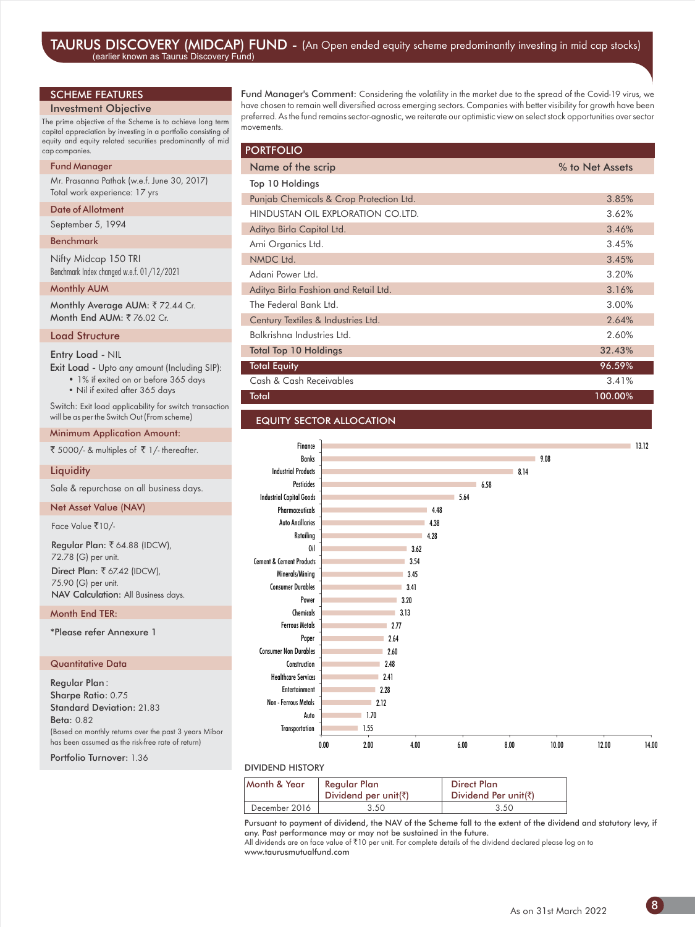#### SCHEME FEATURES

#### Investment Objective

The prime objective of the Scheme is to achieve long term capital appreciation by investing in a portfolio consisting of equity and equity related securities predominantly of mid cap companies.

#### Fund Manager

Mr. Prasanna Pathak (w.e.f. June 30, 2017) Total work experience: 17 yrs

#### Date of Allotment

September 5, 1994

#### Benchmark

Nifty Midcap 150 TRI Benchmark Index changed w.e.f. 01/12/2021

#### Monthly AUM

Monthly Average AUM: ₹72.44 Cr. Month End AUM: ₹76.02 Cr.

#### Load Structure

#### Entry Load - NIL

Exit Load - Upto any amount (Including SIP): • 1% if exited on or before 365 days

• Nil if exited after 365 days

Switch: Exit load applicability for switch transaction will be as per the Switch Out (From scheme)

Minimum Application Amount:

 $\bar{X}$  5000/- & multiples of  $\bar{X}$  1/- thereafter.

#### **Liquidity**

Sale & repurchase on all business days.

#### Net Asset Value (NAV)

Face Value ₹10/-

Regular Plan: ₹ 64.88 (IDCW), 72.78 (G) per unit. Direct Plan:  $\overline{\xi}$  67.42 (IDCW), 75.90 (G) per unit. NAV Calculation: All Business days.

#### Month End TER:

\*Please refer Annexure 1

#### Quantitative Data

Regular Plan : Sharpe Ratio: 0.75 Standard Deviation: 21.83 Beta: 0.82 (Based on monthly returns over the past 3 years Mibor has been assumed as the risk-free rate of return)

Portfolio Turnover: 1.36

Fund Manager's Comment: Considering the volatility in the market due to the spread of the Covid-19 virus, we have chosen to remain well diversified across emerging sectors. Companies with better visibility for growth have been preferred. As the fund remains sector-agnostic, we reiterate our optimistic view on select stock opportunities over sector movements.

| <b>PORTFOLIO</b>                        |                 |
|-----------------------------------------|-----------------|
| Name of the scrip                       | % to Net Assets |
| Top 10 Holdings                         |                 |
| Punjab Chemicals & Crop Protection Ltd. | 3.85%           |
| HINDUSTAN OIL EXPLORATION CO.LTD.       | 3.62%           |
| Aditya Birla Capital Ltd.               | 3.46%           |
| Ami Organics Ltd.                       | 3.45%           |
| NMDC Ltd.                               | 3.45%           |
| Adani Power Ltd.                        | 3.20%           |
| Aditya Birla Fashion and Retail Ltd.    | 3.16%           |
| The Federal Bank Ltd.                   | 3.00%           |
| Century Textiles & Industries Ltd.      | 2.64%           |
| Balkrishna Industries Ltd.              | 2.60%           |
| <b>Total Top 10 Holdings</b>            | 32.43%          |
| <b>Total Equity</b>                     | 96.59%          |
| Cash & Cash Receivables                 | 3.41%           |
| Total                                   | 100.00%         |
|                                         |                 |

#### EQUITY SECTOR ALLOCATION



#### DIVIDEND HISTORY

| Month & Year  | Regular Plan<br>Dividend per unit( $\bar{z}$ ) | <b>Direct Plan</b><br>Dividend Per unit(₹) |
|---------------|------------------------------------------------|--------------------------------------------|
| December 2016 | 3.50                                           | 3.50                                       |

Pursuant to payment of dividend, the NAV of the Scheme fall to the extent of the dividend and statutory levy, if any. Past performance may or may not be sustained in the future.

All dividends are on face value of `10 per unit. For complete details of the dividend declared please log on to www.taurusmutualfund.com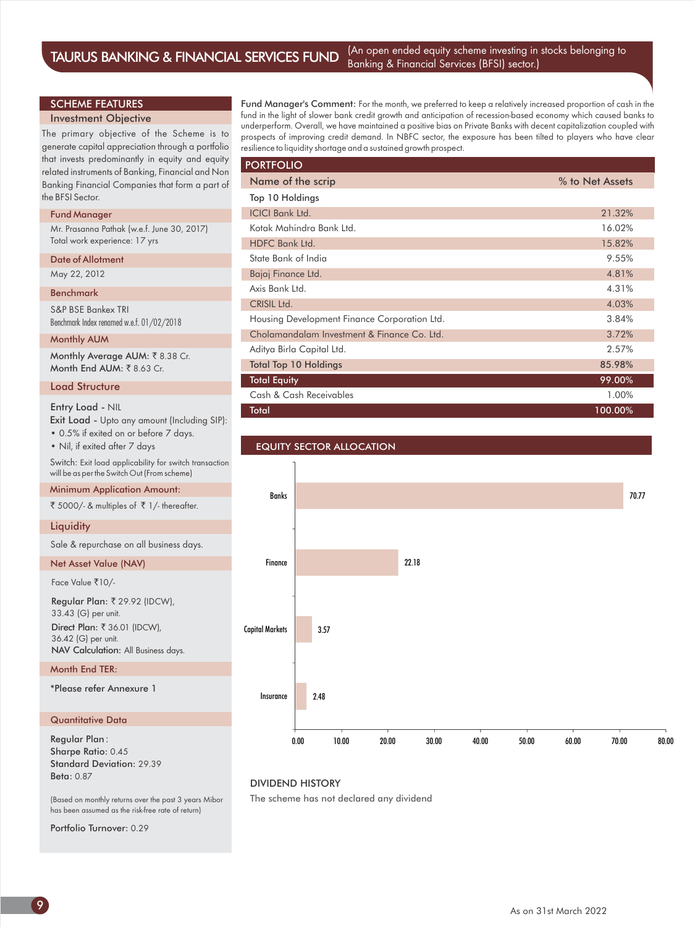#### SCHEME FEATURES

#### Investment Objective

The primary objective of the Scheme is to generate capital appreciation through a portfolio that invests predominantly in equity and equity related instruments of Banking, Financial and Non Banking Financial Companies that form a part of the BFSI Sector.

#### Fund Manager

Mr. Prasanna Pathak (w.e.f. June 30, 2017) Total work experience: 17 yrs

#### Date of Allotment

May 22, 2012

#### Benchmark

S&P BSE Bankex TRI Benchmark Index renamed w.e.f. 01/02/2018

#### Monthly AUM

Monthly Average AUM: ₹8.38 Cr. Month End AUM:  $\bar{z}$  8.63 Cr.

#### Load Structure

Exit Load - Upto any amount (Including SIP): • Nil, if exited after 7 days Entry Load - NIL • 0.5% if exited on or before 7 days. Switch: Exit load applicability for switch transaction will be as per the Switch Out (From scheme)

#### Minimum Application Amount:

₹ 5000/- & multiples of  $\bar{x}$  1/- thereafter.

#### **Liquidity**

Sale & repurchase on all business days.

#### Net Asset Value (NAV)

Face Value ₹10/-

Regular Plan: ₹ 29.92 (IDCW), 33.43 (G) per unit. NAV Calculation: All Business days. Direct Plan: ₹ 36.01 (IDCW), 36.42 (G) per unit.

#### Month End TER:

\*Please refer Annexure 1

#### Quantitative Data

Regular Plan : Sharpe Ratio: 0.45 Standard Deviation: 29.39 Beta: 0.87

(Based on monthly returns over the past 3 years Mibor has been assumed as the risk-free rate of return)

Portfolio Turnover: 0.29

Fund Manager's Comment: For the month, we preferred to keep a relatively increased proportion of cash in the fund in the light of slower bank credit growth and anticipation of recession-based economy which caused banks to underperform. Overall, we have maintained a positive bias on Private Banks with decent capitalization coupled with prospects of improving credit demand. In NBFC sector, the exposure has been tilted to players who have clear resilience to liquidity shortage and a sustained growth prospect.

| <b>PORTFOLIO</b>                             |                 |
|----------------------------------------------|-----------------|
| Name of the scrip                            | % to Net Assets |
| Top 10 Holdings                              |                 |
| <b>ICICI Bank Ltd.</b>                       | 21.32%          |
| Kotak Mahindra Bank Ltd.                     | 16.02%          |
| HDFC Bank Ltd.                               | 15.82%          |
| State Bank of India                          | 9.55%           |
| Bajaj Finance Ltd.                           | 4.81%           |
| Axis Bank Ltd.                               | 4.31%           |
| CRISIL Ltd.                                  | 4.03%           |
| Housing Development Finance Corporation Ltd. | 3.84%           |
| Cholamandalam Investment & Finance Co. Ltd.  | 3.72%           |
| Aditya Birla Capital Ltd.                    | 2.57%           |
| <b>Total Top 10 Holdings</b>                 | 85.98%          |
| <b>Total Equity</b>                          | 99.00%          |
| Cash & Cash Receivables                      | 1.00%           |
| <b>Total</b>                                 | 100.00%         |



#### DIVIDEND HISTORY

The scheme has not declared any dividend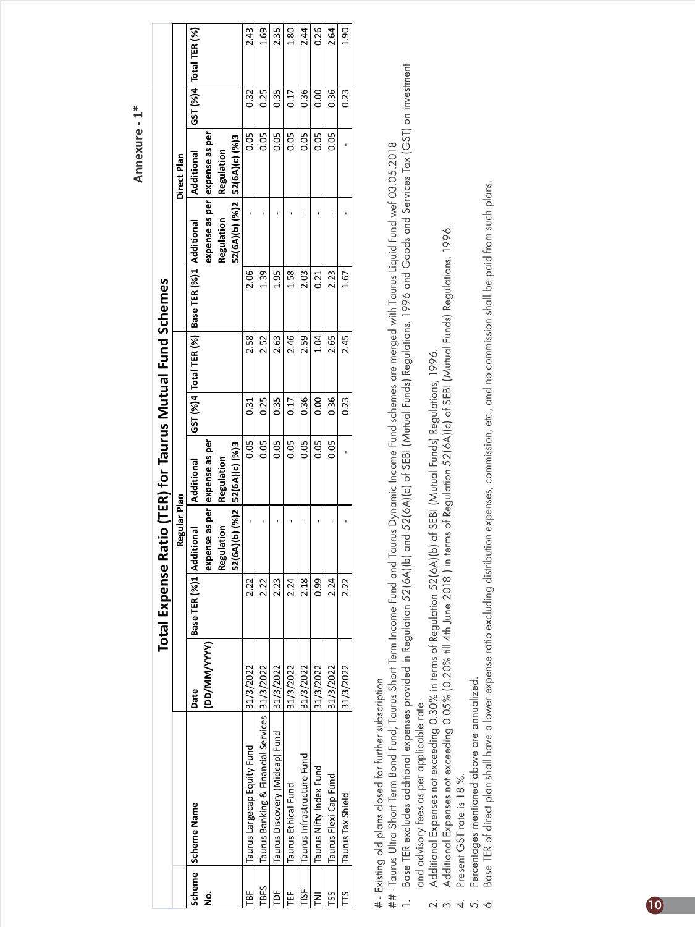**Annexure - 1\***

|             |                                                 |              | <b>Total Expense Ra</b> |                                | atio (TER) for Taurus Mutual Fund Schemes |      |      |                                                     |                                |             |      |                          |
|-------------|-------------------------------------------------|--------------|-------------------------|--------------------------------|-------------------------------------------|------|------|-----------------------------------------------------|--------------------------------|-------------|------|--------------------------|
|             |                                                 |              |                         | Regular Plan                   |                                           |      |      |                                                     |                                | Direct Plan |      |                          |
|             | Scheme Scheme Name                              | Date         | Base TER (%)1 Addi      | tional                         | Additional                                |      |      | GST (%)4 Total TER (%)   Base TER (%)1   Additional |                                | Additional  |      | GST (%)4   Total TER (%) |
| ġ           |                                                 | (DD/MM/YYYY) |                         |                                | expense as per lexpense as per            |      |      |                                                     | expense as per expense as per  |             |      |                          |
|             |                                                 |              |                         | lation<br>Regul                | Regulation                                |      |      |                                                     | Regulation                     | Regulation  |      |                          |
|             |                                                 |              |                         | 52(6A)(b) (%)2  52(6A)(c) (%)3 |                                           |      |      |                                                     | 52(6A)(b) (%)2  52(6A)(c) (%)3 |             |      |                          |
| Ĕ           | Taurus Largecap Equity Fund                     | 31/3/2022    | 2.22                    |                                | 0.05                                      | 0.31 | 2.58 | 2.06                                                |                                | 0.05        | 0.32 | 2.43                     |
| <b>TBFS</b> | Taurus Banking & Financial Services   31/3/2022 |              | 2.22                    |                                | 0.05                                      | 0.25 | 2.52 | 1.39                                                |                                | 0.05        | 0.25 | 1.69                     |
| ĕ           | Taurus Discovery (Midcap) Fund                  | 31/3/2022    | 2.23                    |                                | 0.05                                      | 0.35 | 2.63 | 1.95                                                |                                | 0.05        | 0.35 | 2.35                     |
| Ë           | Taurus Ethical Fund                             | 31/3/2022    | 2.24                    |                                | 0.05                                      | 0.17 | 2.46 | 1.58                                                |                                | 0.05        | 0.17 | 1.80                     |
| 5ig         | Taurus Infrastructure Fund                      | 31/3/2022    | 2.18                    |                                | 0.05                                      | 0.36 | 2.59 | 2.03                                                |                                | 0.05        | 0.36 | 2.44                     |
| 2           | Taurus Nifty Index Fund                         | 31/3/2022    | 0.99                    |                                | 0.05                                      | 0.00 | 1.04 | 0.21                                                |                                | 0.05        | 0.00 | 0.26                     |
| င္တ         | Taurus Flexi Cap Fund                           | 31/3/2022    | 2.24                    |                                | 0.05                                      | 0.36 | 2.65 | 2.23                                                |                                | 0.05        | 0.36 | 2.64                     |
|             | Taurus Tax Shield                               | 31/3/2022    | 2.22                    |                                |                                           | 0.23 | 2.45 | 1.67                                                |                                |             | 0.23 | 1.90                     |
|             |                                                 |              |                         |                                |                                           |      |      |                                                     |                                |             |      |                          |

# - Existing old plans closed for further subscription # - Existing old plans closed for further subscription

Base TER excludes additional expenses provided in Regulation 52(6A)(b) and 52(6A)(c) of SEBI (Mutual Funds) Regulations, 1996 and Goods and Services Tax (GST) on investment 1. Base TER excludes additional expenses provided in Regulation 52(6A)(b) and 52(6A)(c) of SEBI (Mutual Funds) Regulations, 1996 and Goods and Services Tax (GST) on investment ## - Taurus Ultra Short Term Bond Fund, Taurus Short Term Income Fund and Taurus Dynamic Income Fund schemes are merged with Taurus Liquid Fund wef 03.05.2018 ## - Taurus Ultra Short Term Bond Fund, Taurus Short Term Income Fund and Taurus Dynamic Income Fund schemes are merged with Taurus Liquid Fund wef 03.05.2018  $\overline{a}$ 

- and advisory fees as per applicable rate. and advisory fees as per applicable rate.
	- 2. Additional Expenses not exceeding 0.30% in terms of Regulation 52(6A)(b) of SEBI (Mutual Funds) Regulations, 1996.
	- Additional Expenses not exceeding 0.30% in terms of Regulation 52(6A)(b) of SEBI (Mutual Funds) Regulations, 1996.<br>Additional Expenses not exceeding 0.05% (0.20% till 4th June 2018 ) in terms of Regulation 52(6A)(c) of SEB 3. Additional Expenses not exceeding 0.05% (0.20% till 4th June 2018 ) in terms of Regulation 52(6A)(c) of SEBI (Mutual Funds) Regulations, 1996.
		- Present GST rate is 18 %. 4. Present GST rate is 18 %.
	- Percentages mentioned above are annualized. 5. Percentages mentioned above are annualized.  $\ddot{a}$   $\ddot{a}$   $\ddot{a}$   $\ddot{a}$   $\ddot{b}$
- Base TER of direct plan shall have a lower expense ratio excluding distribution expenses, commission, etc., and no commission shall be paid from such plans. 6. Base TER of direct plan shall have a lower expense ratio excluding distribution expenses, commission, etc., and no commission shall be paid from such plans.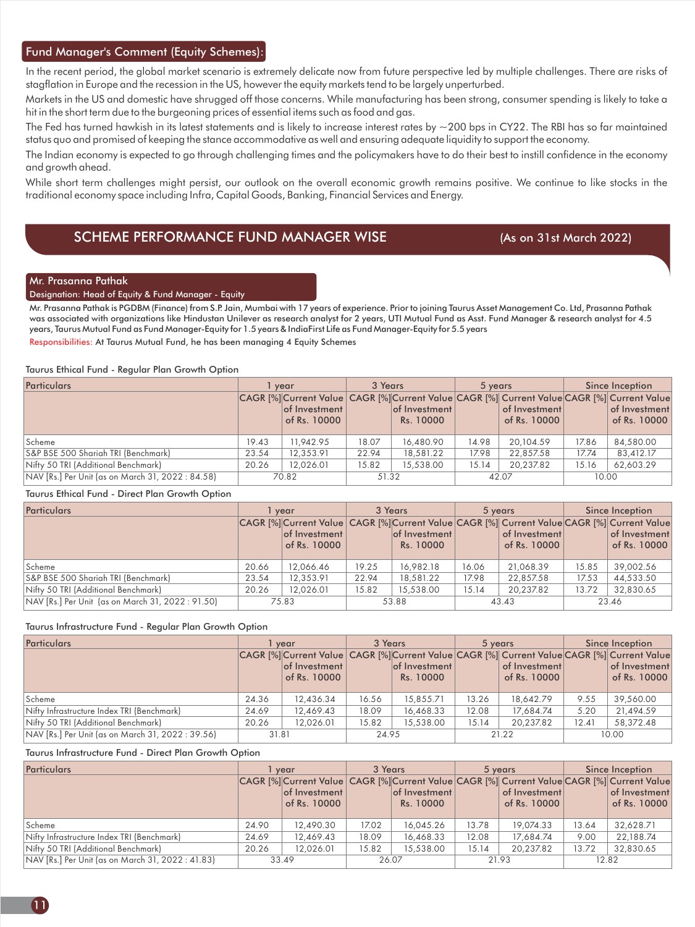#### Fund Manager's Comment (Equity Schemes):

In the recent period, the global market scenario is extremely delicate now from future perspective led by multiple challenges. There are risks of stagflation in Europe and the recession in the US, however the equity markets tend to be largely unperturbed.

Markets in the US and domestic have shrugged off those concerns. While manufacturing has been strong, consumer spending is likely to take a hit in the short term due to the burgeoning prices of essential items such as food and gas.

The Fed has turned hawkish in its latest statements and is likely to increase interest rates by  $\sim$ 200 bps in CY22. The RBI has so far maintained status quo and promised of keeping the stance accommodative as well and ensuring adequate liquidity to support the economy.

The Indian economy is expected to go through challenging times and the policymakers have to do their best to instill confidence in the economy and growth ahead.

While short term challenges might persist, our outlook on the overall economic growth remains positive. We continue to like stocks in the traditional economy space including Infra, Capital Goods, Banking, Financial Services and Energy.

#### SCHEME PERFORMANCE FUND MANAGER WISE (As on 31st March 2022)

#### Mr. Prasanna Pathak

#### Designation: Head of Equity & Fund Manager - Equity

Responsibilities: At Taurus Mutual Fund, he has been managing 4 Equity Schemes Mr. Prasanna Pathak is PGDBM (Finance) from S.P. Jain, Mumbai with 17 years of experience. Prior to joining Taurus Asset Management Co. Ltd, Prasanna Pathak was associated with organizations like Hindustan Unilever as research analyst for 2 years, UTI Mutual Fund as Asst. Fund Manager & research analyst for 4.5 years, Taurus Mutual Fund as Fund Manager-Equity for 1.5 years & IndiaFirst Life as Fund Manager-Equity for 5.5 years

#### Taurus Ethical Fund - Regular Plan Growth Option

| <b>Particulars</b>                                |       | vear                                                                                                                       | 3 Years |                            | 5 years |                               |       | Since Inception               |
|---------------------------------------------------|-------|----------------------------------------------------------------------------------------------------------------------------|---------|----------------------------|---------|-------------------------------|-------|-------------------------------|
|                                                   |       | CAGR [%]Current Value CAGR [%]Current Value CAGR [%] Current Value CAGR [%] Current Value<br>of Investment<br>of Rs. 10000 |         | of Investment<br>Rs. 10000 |         | of Investment<br>of Rs. 10000 |       | of Investment<br>of Rs. 10000 |
| Scheme                                            | 19.43 | 11.942.95                                                                                                                  | 18.07   | 16,480.90                  | 14.98   | 20,104.59                     | 17.86 | 84,580,00                     |
| S&P BSE 500 Shariah TRI (Benchmark)               | 23.54 | 12.353.91                                                                                                                  | 22.94   | 18,581.22                  | 17.98   | 22,857.58                     | 17.74 | 83,412.17                     |
| Nifty 50 TRI (Additional Benchmark)               | 20.26 | 12.026.01                                                                                                                  | 15.82   | 15,538,00                  | 15.14   | 20.237.82                     | 15.16 | 62.603.29                     |
| NAV [Rs.] Per Unit (as on March 31, 2022 : 84.58) |       | 70.82                                                                                                                      | 51.32   |                            |         | 42.07                         | 10.00 |                               |

#### Taurus Ethical Fund - Direct Plan Growth Option

| Particulars                                       |       | vear                                                                                                                         |       | 3 Years                    |       | 5 years                       |       | Since Inception               |
|---------------------------------------------------|-------|------------------------------------------------------------------------------------------------------------------------------|-------|----------------------------|-------|-------------------------------|-------|-------------------------------|
|                                                   |       | CAGR [%] Current Value CAGR [%] Current Value CAGR [%] Current Value CAGR [%] Current Value<br>of Investment<br>of Rs. 10000 |       | of Investment<br>Rs. 10000 |       | of Investment<br>of Rs. 10000 |       | of Investment<br>of Rs. 10000 |
| Scheme                                            | 20.66 | 12.066.46                                                                                                                    | 19.25 | 16,982.18                  | 16.06 | 21,068.39                     | 15.85 | 39,002.56                     |
| S&P BSE 500 Shariah TRI (Benchmark)               | 23.54 | 12.353.91                                                                                                                    | 22.94 | 18,581.22                  | 17.98 | 22,857.58                     | 17.53 | 44,533.50                     |
| Nifty 50 TRI (Additional Benchmark)               | 20.26 | 12.026.01                                                                                                                    | 15.82 | 15,538.00                  | 15.14 | 20.237.82                     | 13.72 | 32,830.65                     |
| NAV [Rs.] Per Unit (as on March 31, 2022 : 91.50) |       | 75.83                                                                                                                        |       | 53.88                      |       | 43.43                         |       | 23.46                         |

#### Taurus Infrastructure Fund - Regular Plan Growth Option

| <b>Particulars</b>                                |       | vear                                                                                                                         | 3 Years |                            | 5 years |                               |       | Since Inception               |
|---------------------------------------------------|-------|------------------------------------------------------------------------------------------------------------------------------|---------|----------------------------|---------|-------------------------------|-------|-------------------------------|
|                                                   |       | CAGR [%] Current Value CAGR [%] Current Value CAGR [%] Current Value CAGR [%] Current Value<br>of Investment<br>of Rs. 10000 |         | of Investment<br>Rs. 10000 |         | of Investment<br>of Rs. 10000 |       | of Investment<br>of Rs. 10000 |
| Scheme                                            | 24.36 | 12,436.34                                                                                                                    | 16.56   | 15,855.71                  | 13.26   | 18,642.79                     | 9.55  | 39,560.00                     |
| Nifty Infrastructure Index TRI (Benchmark)        | 24.69 | 12,469.43                                                                                                                    | 18.09   | 16,468.33                  | 12.08   | 17.684.74                     | 5.20  | 21,494.59                     |
| Nifty 50 TRI (Additional Benchmark)               | 20.26 | 12.026.01                                                                                                                    | 15.82   | 15,538,00                  | 15.14   | 20.237.82                     | 12.41 | 58,372.48                     |
| NAV [Rs.] Per Unit (as on March 31, 2022 : 39.56) | 31.81 |                                                                                                                              | 24.95   |                            |         | 21.22                         |       | 10.00                         |

#### Taurus Infrastructure Fund - Direct Plan Growth Option

| <b>Particulars</b>                                |       | vear                  | 3 Years |               |       | 5 years       |       | Since Inception                                                                             |
|---------------------------------------------------|-------|-----------------------|---------|---------------|-------|---------------|-------|---------------------------------------------------------------------------------------------|
|                                                   |       |                       |         |               |       |               |       | CAGR [%] Current Value CAGR [%] Current Value CAGR [%] Current Value CAGR [%] Current Value |
|                                                   |       | $ $ of Investment $ $ |         | of Investment |       | of Investment |       | of Investment                                                                               |
|                                                   |       | of Rs. 10000          |         | Rs. 10000     |       | of Rs. 10000  |       | of Rs. 10000                                                                                |
| Scheme                                            | 24.90 | 12,490.30             | 17.02   | 16.045.26     | 13.78 | 19.074.33     | 13.64 | 32.628.71                                                                                   |
| Nifty Infrastructure Index TRI (Benchmark)        | 24.69 | 12,469.43             | 18.09   | 16,468.33     | 12.08 | 17,684.74     | 9.00  | 22,188.74                                                                                   |
| Nifty 50 TRI (Additional Benchmark)               | 20.26 | 12.026.01             | 15.82   | 15,538.00     | 15.14 | 20.237.82     | 13.72 | 32,830.65                                                                                   |
| NAV [Rs.] Per Unit (as on March 31, 2022 : 41.83) |       | 33.49                 | 26.07   |               | 21.93 |               | 12.82 |                                                                                             |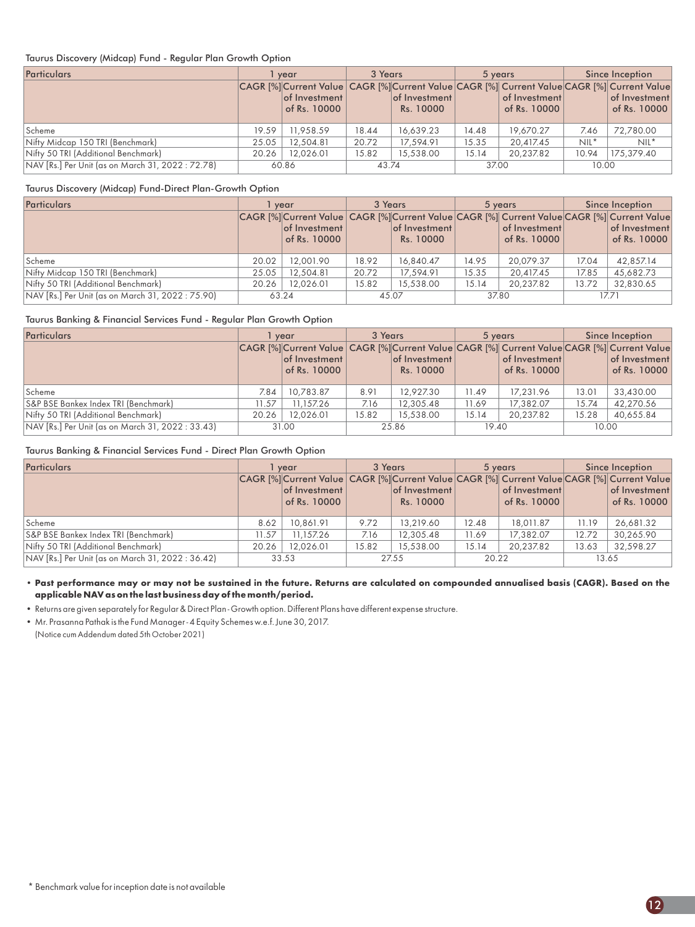#### Taurus Discovery (Midcap) Fund - Regular Plan Growth Option

| <b>Particulars</b>                                |       | vear                                                                                                                         | 3 Years |                            | 5 years |                               |         | Since Inception               |
|---------------------------------------------------|-------|------------------------------------------------------------------------------------------------------------------------------|---------|----------------------------|---------|-------------------------------|---------|-------------------------------|
|                                                   |       | CAGR [%] Current Value CAGR [%] Current Value CAGR [%] Current Value CAGR [%] Current Value<br>of Investment<br>of Rs. 10000 |         | of Investment<br>Rs. 10000 |         | of Investment<br>of Rs. 10000 |         | of Investment<br>of Rs. 10000 |
| Scheme                                            | 19.59 | 11,958.59                                                                                                                    | 18.44   | 16,639.23                  | 14.48   | 19,670.27                     | 7.46    | 72.780.00                     |
| Nifty Midcap 150 TRI (Benchmark)                  | 25.05 | 12,504.81                                                                                                                    | 20.72   | 17,594.91                  | 15.35   | 20,417.45                     | $NIL^*$ | $NIL^*$                       |
| Nifty 50 TRI (Additional Benchmark)               | 20.26 | 12.026.01                                                                                                                    | 15.82   | 15,538,00                  | 15.14   | 20.237.82                     | 10.94   | 175,379,40                    |
| NAV [Rs.] Per Unit (as on March 31, 2022 : 72.78) |       | 60.86                                                                                                                        | 43.74   |                            | 37.00   |                               | 10.00   |                               |

#### Taurus Discovery (Midcap) Fund-Direct Plan-Growth Option

| Particulars                                       |       | vear                                                                                                                         | 3 Years |                            |       | 5 years                       |       | Since Inception               |
|---------------------------------------------------|-------|------------------------------------------------------------------------------------------------------------------------------|---------|----------------------------|-------|-------------------------------|-------|-------------------------------|
|                                                   |       | CAGR [%] Current Value CAGR [%] Current Value CAGR [%] Current Value CAGR [%] Current Value<br>of Investment<br>of Rs. 10000 |         | of Investment<br>Rs. 10000 |       | of Investment<br>of Rs. 10000 |       | of Investment<br>of Rs. 10000 |
| Scheme                                            | 20.02 | 12,001.90                                                                                                                    | 18.92   | 16,840.47                  | 14.95 | 20,079.37                     | 17.04 | 42,857.14                     |
| Nifty Midcap 150 TRI (Benchmark)                  | 25.05 | 12,504.81                                                                                                                    | 20.72   | 17.594.91                  | 15.35 | 20,417.45                     | 17.85 | 45,682.73                     |
| Nifty 50 TRI (Additional Benchmark)               | 20.26 | 12.026.01                                                                                                                    | 15.82   | 15,538,00                  | 15.14 | 20.237.82                     | 13.72 | 32.830.65                     |
| NAV [Rs.] Per Unit (as on March 31, 2022 : 75.90) |       | 63.24                                                                                                                        |         | 45.07                      | 37.80 |                               |       | 17.71                         |

#### Taurus Banking & Financial Services Fund - Regular Plan Growth Option

| Particulars                                       |       | vear                                  | 3 Years |                            |       | 5 years                       |       | Since Inception                                                                                                              |
|---------------------------------------------------|-------|---------------------------------------|---------|----------------------------|-------|-------------------------------|-------|------------------------------------------------------------------------------------------------------------------------------|
|                                                   |       | $ $ of Investment $ $<br>of Rs. 10000 |         | of Investment<br>Rs. 10000 |       | of Investment<br>of Rs. 10000 |       | CAGR [%] Current Value CAGR [%] Current Value CAGR [%] Current Value CAGR [%] Current Value<br>of Investment<br>of Rs. 10000 |
| Scheme                                            | 7.84  | 10,783.87                             | 8.91    | 12,927.30                  | 11.49 | 17,231.96                     | 13.01 | 33,430.00                                                                                                                    |
| S&P BSE Bankex Index TRI (Benchmark)              | 11.57 | 11.157.26                             | 7.16    | 12,305.48                  | 11.69 | 17,382.07                     | 15.74 | 42.270.56                                                                                                                    |
| Nifty 50 TRI (Additional Benchmark)               | 20.26 | 12.026.01                             | 15.82   | 15,538.00                  | 15.14 | 20.237.82                     | 15.28 | 40,655.84                                                                                                                    |
| NAV [Rs.] Per Unit (as on March 31, 2022 : 33.43) |       | 31.00                                 |         | 25.86                      | 19.40 |                               | 10.00 |                                                                                                                              |

#### Taurus Banking & Financial Services Fund - Direct Plan Growth Option

| <b>Particulars</b>                                |       | vear                                                                                                                         | 3 Years |                            |       | 5 years                       | Since Inception |                               |
|---------------------------------------------------|-------|------------------------------------------------------------------------------------------------------------------------------|---------|----------------------------|-------|-------------------------------|-----------------|-------------------------------|
|                                                   |       | CAGR [%] Current Value CAGR [%] Current Value CAGR [%] Current Value CAGR [%] Current Value<br>of Investment<br>of Rs. 10000 |         | of Investment<br>Rs. 10000 |       | of Investment<br>of Rs. 10000 |                 | of Investment<br>of Rs. 10000 |
| Scheme                                            | 8.62  | 10.861.91                                                                                                                    | 9.72    | 13,219.60                  | 12.48 | 18,011.87                     | 11.19           | 26,681.32                     |
| S&P BSE Bankex Index TRI (Benchmark)              | 11.57 | 11.157.26                                                                                                                    | 7.16    | 12,305.48                  | 11.69 | 17,382.07                     | 12.72           | 30,265.90                     |
| Nifty 50 TRI (Additional Benchmark)               | 20.26 | 12.026.01                                                                                                                    | 15.82   | 15,538,00                  | 15.14 | 20.237.82                     | 13.63           | 32.598.27                     |
| NAV [Rs.] Per Unit (as on March 31, 2022 : 36.42) |       | 33.53                                                                                                                        | 27.55   |                            | 20.22 |                               | 13.65           |                               |

**• Past performance may or may not be sustained in the future. Returns are calculated on compounded annualised basis (CAGR). Based on the applicable NAVas on the last business day of the month/period.**

• Returns are given separately for Regular & Direct Plan - Growth option. Different Plans have different expense structure.

(Notice cum Addendum dated 5th October 2021) • Mr. Prasanna Pathak is the Fund Manager - 4 Equity Schemes w.e.f. June 30, 2017.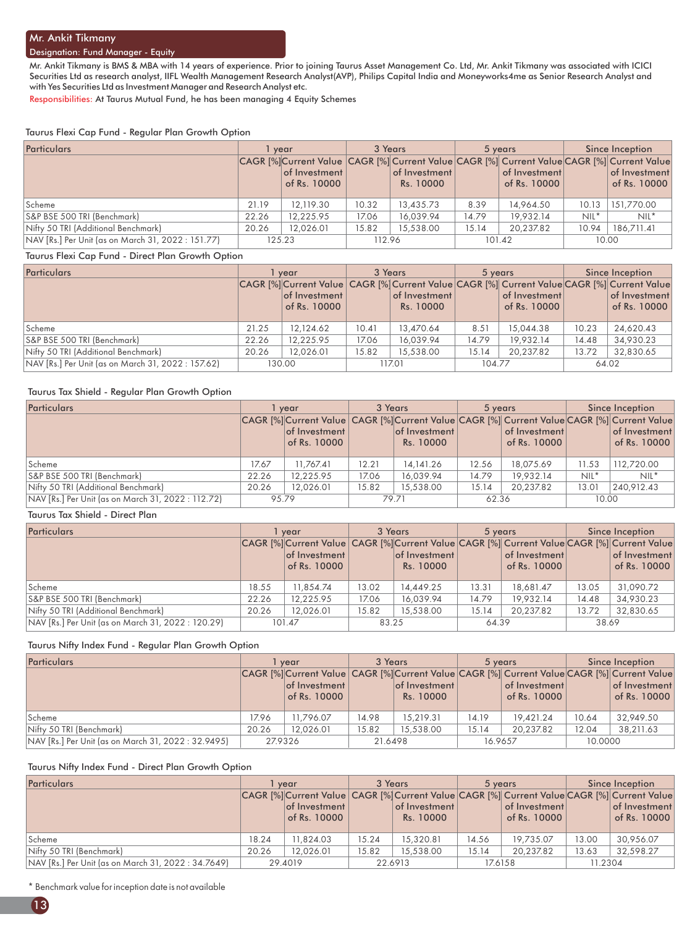#### Designation: Fund Manager - Equity

Mr. Ankit Tikmany is BMS & MBA with 14 years of experience. Prior to joining Taurus Asset Management Co. Ltd, Mr. Ankit Tikmany was associated with ICICI Securities Ltd as research analyst, IIFL Wealth Management Research Analyst(AVP), Philips Capital India and Moneyworks4me as Senior Research Analyst and with Yes Securities Ltd as Investment Manager and Research Analyst etc.

Responsibilities: At Taurus Mutual Fund, he has been managing 4 Equity Schemes

#### Taurus Flexi Cap Fund - Regular Plan Growth Option

| <b>Particulars</b>                                 | vear  |                                                                                                                             |        | 3 Years                    |       | 5 years                       | Since Inception |                               |
|----------------------------------------------------|-------|-----------------------------------------------------------------------------------------------------------------------------|--------|----------------------------|-------|-------------------------------|-----------------|-------------------------------|
|                                                    |       | CAGR [%]Current Value CAGR [%] Current Value CAGR [%] Current Value CAGR [%] Current Value<br>of Investment<br>of Rs. 10000 |        | of Investment<br>Rs. 10000 |       | of Investment<br>of Rs. 10000 |                 | of Investment<br>of Rs. 10000 |
| Scheme                                             | 21.19 | 12,119.30                                                                                                                   | 10.32  | 13,435.73                  | 8.39  | 14,964.50                     | 10.13           | 151,770.00                    |
| S&P BSE 500 TRI (Benchmark)                        | 22.26 | 12.225.95                                                                                                                   | 17.06  | 16,039.94                  | 14.79 | 19.932.14                     | $NIL^*$         | $NIL^*$                       |
| Nifty 50 TRI (Additional Benchmark)                | 20.26 | 12.026.01                                                                                                                   | 15.82  | 15,538,00                  | 15.14 | 20.237.82                     | 10.94           | 186.711.41                    |
| NAV [Rs.] Per Unit (as on March 31, 2022 : 151.77) |       | 125.23                                                                                                                      | 112.96 |                            |       | 101.42                        | 10.00           |                               |

#### Taurus Flexi Cap Fund - Direct Plan Growth Option

| Particulars                                        |       | vear                                                                                                                         |       | 3 Years                    | 5 years |                               | Since Inception |                               |
|----------------------------------------------------|-------|------------------------------------------------------------------------------------------------------------------------------|-------|----------------------------|---------|-------------------------------|-----------------|-------------------------------|
|                                                    |       | CAGR [%] Current Value CAGR [%] Current Value CAGR [%] Current Value CAGR [%] Current Value<br>of Investment<br>of Rs. 10000 |       | of Investment<br>Rs. 10000 |         | of Investment<br>of Rs. 10000 |                 | of Investment<br>of Rs. 10000 |
| Scheme                                             | 21.25 | 12,124.62                                                                                                                    | 10.41 | 13,470.64                  | 8.51    | 15,044.38                     | 10.23           | 24,620.43                     |
| S&P BSE 500 TRI (Benchmark)                        | 22.26 | 12.225.95                                                                                                                    | 17.06 | 16,039.94                  | 14.79   | 19.932.14                     | 14.48           | 34.930.23                     |
| Nifty 50 TRI (Additional Benchmark)                | 20.26 | 12.026.01                                                                                                                    | 15.82 | 15,538.00                  | 15.14   | 20.237.82                     | 13.72           | 32.830.65                     |
| NAV [Rs.] Per Unit (as on March 31, 2022 : 157.62) |       | 130.00                                                                                                                       |       | 117.01                     | 104.77  |                               |                 | 64.02                         |

#### Taurus Tax Shield - Regular Plan Growth Option

| Particulars                                        |       | vear                                                                                                                         | 3 Years |                            | 5 years |                               | Since Inception |                               |
|----------------------------------------------------|-------|------------------------------------------------------------------------------------------------------------------------------|---------|----------------------------|---------|-------------------------------|-----------------|-------------------------------|
|                                                    |       | CAGR [%] Current Value CAGR [%] Current Value CAGR [%] Current Value CAGR [%] Current Value<br>of Investment<br>of Rs. 10000 |         | of Investment<br>Rs. 10000 |         | of Investment<br>of Rs. 10000 |                 | of Investment<br>of Rs. 10000 |
| Scheme                                             | 17.67 | 11,767.41                                                                                                                    | 12.21   | 14,141.26                  | 12.56   | 18,075.69                     | 11.53           | 112,720.00                    |
| S&P BSE 500 TRI (Benchmark)                        | 22.26 | 12,225.95                                                                                                                    | 17.06   | 16,039.94                  | 14.79   | 19,932.14                     | $NIL^*$         | $NIL^*$                       |
| Nifty 50 TRI (Additional Benchmark)                | 20.26 | 12.026.01                                                                                                                    | 15.82   | 15,538,00                  | 15.14   | 20.237.82                     | 13.01           | 240.912.43                    |
| NAV [Rs.] Per Unit (as on March 31, 2022 : 112.72) | 95.79 |                                                                                                                              |         | 79.71                      | 62.36   |                               | 10.00           |                               |

#### Taurus Tax Shield - Direct Plan

| Particulars                                        | l vear |                                       |       | 3 Years                    | 5 years |                               | Since Inception |                                                                                                                              |
|----------------------------------------------------|--------|---------------------------------------|-------|----------------------------|---------|-------------------------------|-----------------|------------------------------------------------------------------------------------------------------------------------------|
|                                                    |        | $ $ of Investment $ $<br>of Rs. 10000 |       | of Investment<br>Rs. 10000 |         | of Investment<br>of Rs. 10000 |                 | CAGR [%] Current Value CAGR [%] Current Value CAGR [%] Current Value CAGR [%] Current Value<br>of Investment<br>of Rs. 10000 |
| Scheme                                             | 18.55  | 11,854.74                             | 13.02 | 14,449.25                  | 13.31   | 18,681.47                     | 13.05           | 31,090.72                                                                                                                    |
| S&P BSE 500 TRI (Benchmark)                        | 22.26  | 12,225.95                             | 17.06 | 16,039.94                  | 14.79   | 19.932.14                     | 14.48           | 34,930.23                                                                                                                    |
| Nifty 50 TRI (Additional Benchmark)                | 20.26  | 12.026.01                             | 15.82 | 15,538,00                  | 15.14   | 20.237.82                     | 13.72           | 32.830.65                                                                                                                    |
| NAV [Rs.] Per Unit (as on March 31, 2022 : 120.29) |        | 101.47                                | 83.25 |                            | 64.39   |                               | 38.69           |                                                                                                                              |

#### Taurus Nifty Index Fund - Regular Plan Growth Option

| Particulars                                         | vear  |                                                                                                                                      | 3 Years |                            | 5 years |                               | Since Inception |                               |
|-----------------------------------------------------|-------|--------------------------------------------------------------------------------------------------------------------------------------|---------|----------------------------|---------|-------------------------------|-----------------|-------------------------------|
|                                                     |       | CAGR [%] Current Value CAGR [%] Current Value CAGR [%] Current Value CAGR [%] Current Value<br>$ $ of Investment $ $<br>of Rs. 10000 |         | of Investment<br>Rs. 10000 |         | of Investment<br>of Rs. 10000 |                 | of Investment<br>of Rs. 10000 |
| Scheme                                              | 17.96 | 11.796.07                                                                                                                            | 14.98   | 15.219.31                  | 14.19   | 19.421.24                     | 10.64           | 32,949.50                     |
| Nifty 50 TRI (Benchmark)                            | 20.26 | 12.026.01                                                                                                                            | 15.82   | 15,538.00                  | 15.14   | 20.237.82                     | 12.04           | 38,211.63                     |
| NAV [Rs.] Per Unit (as on March 31, 2022 : 32.9495) |       | 27.9326                                                                                                                              | 21.6498 |                            | 16.9657 |                               | 10.0000         |                               |

#### Taurus Nifty Index Fund - Direct Plan Growth Option

| <b>Particulars</b>                                  |       | vear                                                                                                                                     |       | 3 Years                            | 5 years |                               | Since Inception |                               |
|-----------------------------------------------------|-------|------------------------------------------------------------------------------------------------------------------------------------------|-------|------------------------------------|---------|-------------------------------|-----------------|-------------------------------|
|                                                     |       | CAGR [%] Current Value CAGR [%] Current Value CAGR [%] Current Value CAGR [%] Current Value<br>$ $ of Investment $ $<br>of Rs. 10000 $ $ |       | $ $ of Investment $ $<br>Rs. 10000 |         | of Investment<br>of Rs. 10000 |                 | of Investment<br>of Rs. 10000 |
| Scheme                                              | 18.24 | 11.824.03                                                                                                                                | 15.24 | 15,320.81                          | 14.56   | 19.735.07                     | 13.00           | 30.956.07                     |
| Nifty 50 TRI (Benchmark)                            | 20.26 | 12.026.01                                                                                                                                | 15.82 | 15,538,00                          | 15.14   | 20.237.82                     | 13.63           | 32.598.27                     |
| NAV [Rs.] Per Unit (as on March 31, 2022 : 34.7649) |       | 29.4019                                                                                                                                  |       | 22.6913                            |         | 17.6158                       |                 | 11.2304                       |

\* Benchmark value for inception date is not available

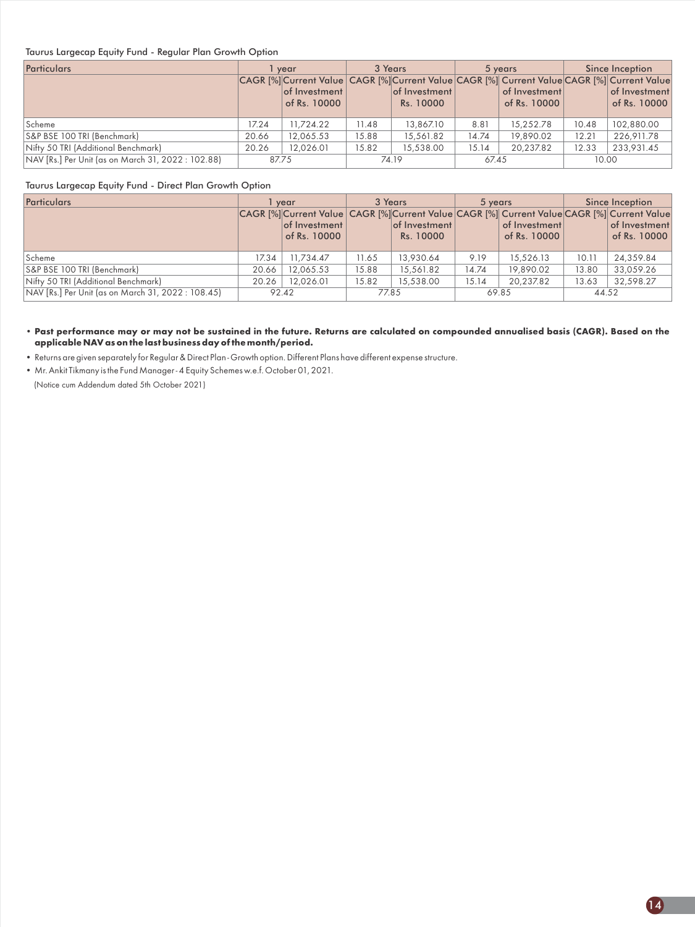#### Taurus Largecap Equity Fund - Regular Plan Growth Option

| Particulars                                        |       | vear                          | 3 Years |                            |       | 5 years                                                                                                                      | Since Inception |                               |
|----------------------------------------------------|-------|-------------------------------|---------|----------------------------|-------|------------------------------------------------------------------------------------------------------------------------------|-----------------|-------------------------------|
|                                                    |       | of Investment<br>of Rs. 10000 |         | of Investment<br>Rs. 10000 |       | CAGR [%] Current Value CAGR [%] Current Value CAGR [%] Current Value CAGR [%] Current Value<br>of Investment<br>of Rs. 10000 |                 | of Investment<br>of Rs. 10000 |
| Scheme                                             | 17.24 | 11.724.22                     | 11.48   | 13,867.10                  | 8.81  | 15,252.78                                                                                                                    | 10.48           | 102,880.00                    |
| S&P BSE 100 TRI (Benchmark)                        | 20.66 | 12,065.53                     | 15.88   | 15,561.82                  | 14.74 | 19,890.02                                                                                                                    | 12.21           | 226,911.78                    |
| Nifty 50 TRI (Additional Benchmark)                | 20.26 | 12.026.01                     | 15.82   | 15,538,00                  | 15.14 | 20.237.82                                                                                                                    | 12.33           | 233.931.45                    |
| NAV [Rs.] Per Unit (as on March 31, 2022 : 102.88) | 87.75 |                               | 74.19   |                            | 67.45 |                                                                                                                              | 10.00           |                               |

#### Taurus Largecap Equity Fund - Direct Plan Growth Option

| <b>Particulars</b>                                 |       | vear                                                                                                                         |       | 3 Years                    | 5 years |                               | Since Inception |                               |
|----------------------------------------------------|-------|------------------------------------------------------------------------------------------------------------------------------|-------|----------------------------|---------|-------------------------------|-----------------|-------------------------------|
|                                                    |       | CAGR [%] Current Value CAGR [%] Current Value CAGR [%] Current Value CAGR [%] Current Value<br>of Investment<br>of Rs. 10000 |       | of Investment<br>Rs. 10000 |         | of Investment<br>of Rs. 10000 |                 | of Investment<br>of Rs. 10000 |
| Scheme                                             | 17.34 | 11,734.47                                                                                                                    | 11.65 | 13,930.64                  | 9.19    | 15,526.13                     | 10.11           | 24,359.84                     |
| S&P BSE 100 TRI (Benchmark)                        | 20.66 | 12,065.53                                                                                                                    | 15.88 | 15,561.82                  | 14.74   | 19,890.02                     | 13.80           | 33,059.26                     |
| Nifty 50 TRI (Additional Benchmark)                | 20.26 | 12.026.01                                                                                                                    | 15.82 | 15,538.00                  | 15.14   | 20,237.82                     | 13.63           | 32.598.27                     |
| NAV [Rs.] Per Unit (as on March 31, 2022 : 108.45) |       | 92.42                                                                                                                        | 77.85 |                            |         | 69.85                         | 44.52           |                               |

**• Past performance may or may not be sustained in the future. Returns are calculated on compounded annualised basis (CAGR). Based on the applicable NAVas on the last business day of the month/period.**

• Returns are given separately for Regular & Direct Plan - Growth option. Different Plans have different expense structure.

• Mr. Ankit Tikmany is the Fund Manager - 4 Equity Schemes w.e.f. October 01, 2021.

(Notice cum Addendum dated 5th October 2021)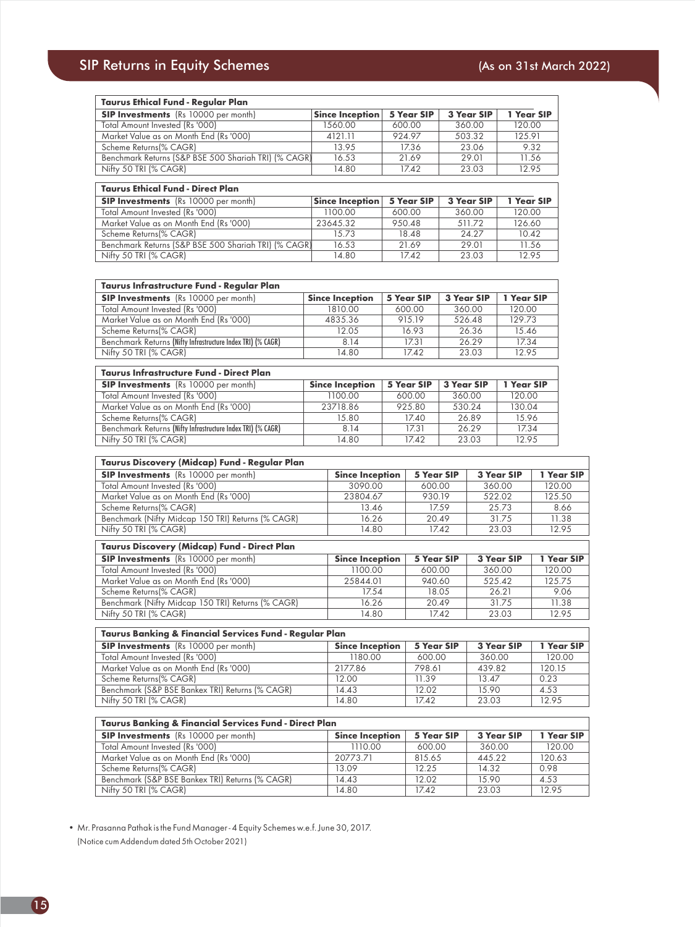| <b>Taurus Ethical Fund - Regular Plan</b>            |                        |            |            |            |
|------------------------------------------------------|------------------------|------------|------------|------------|
| <b>SIP Investments</b> (Rs 10000 per month)          | <b>Since Inception</b> | 5 Year SIP | 3 Year SIP | 1 Year SIP |
| Total Amount Invested (Rs '000)                      | 1560.00                | 600.00     | 360.00     | 120.00     |
| Market Value as on Month End (Rs '000)               | 4121.11                | 92497      | 503.32     | 125.91     |
| Scheme Returns(% CAGR)                               | 13.95                  | 17.36      | 23.06      | 9.32       |
| Benchmark Returns (S&P BSE 500 Shariah TRI) (% CAGR) | 16.53                  | 21.69      | 29.01      | 11.56      |
| Nifty 50 TRI (% CAGR)                                | 14.80                  | 17.42      | 23.03      | 12.95      |
|                                                      |                        |            |            |            |
| <b>Taurus Ethical Fund - Direct Plan</b>             |                        |            |            |            |

| <b>SIP Investments</b> (Rs 10000 per month)          | <b>Since Inception</b> | 5 Year SIP | 3 Year SIP | 1 Year SIP |
|------------------------------------------------------|------------------------|------------|------------|------------|
| Total Amount Invested (Rs '000)                      | 1100.00                | 600.00     | 360.00     | 120.00     |
| Market Value as on Month End (Rs '000)               | 23645.32               | 950.48     | 51172      | 126.60     |
| Scheme Returns(% CAGR)                               | 15.73                  | 18.48      | 24.27      | 10.42      |
| Benchmark Returns (S&P BSE 500 Shariah TRI) (% CAGR) | 16.53                  | 21.69      | 29.01      | 11.56      |
| Nifty 50 TRI (% CAGR)                                | 14.80                  | 1742       | 23.03      | 12.95      |
|                                                      |                        |            |            |            |

| Taurus Infrastructure Fund - Regular Plan                                                   |                        |  |                   |            |            |                   |            |
|---------------------------------------------------------------------------------------------|------------------------|--|-------------------|------------|------------|-------------------|------------|
| <b>SIP Investments</b> (Rs 10000 per month)                                                 | <b>Since Inception</b> |  | 5 Year SIP        |            | 3 Year SIP | 1 Year SIP        |            |
| Total Amount Invested (Rs '000)                                                             | 1810.00                |  | 600.00            |            | 360.00     | 120.00            |            |
| Market Value as on Month End (Rs '000)                                                      | 4835.36                |  | 915.19            | 526.48     |            | 129.73            |            |
| Scheme Returns(% CAGR)                                                                      | 12.05                  |  | 16.93             |            | 26.36      |                   | 15.46      |
| Benchmark Returns (Nifty Infrastructure Index TRI) (% CAGR)                                 | 8.14                   |  | 17.31             |            | 26.29      | 17.34             |            |
| Nifty 50 TRI (% CAGR)                                                                       | 14.80                  |  | 17.42             |            | 23.03      | 12.95             |            |
| <b>Taurus Infrastructure Fund - Direct Plan</b>                                             |                        |  |                   |            |            |                   |            |
| <b>SIP Investments</b> (Rs 10000 per month)                                                 | <b>Since Inception</b> |  | 5 Year SIP        | 3 Year SIP |            | 1 Year SIP        |            |
| Total Amount Invested (Rs '000)                                                             | 1100.00                |  | 600.00            |            | 360.00     | 120.00            |            |
| Market Value as on Month End (Rs '000)                                                      | 23718.86               |  | 925.80            |            | 530.24     | 130.04            |            |
| Scheme Returns(% CAGR)                                                                      | 15.80                  |  | 17.40             |            | 26.89      | 15.96             |            |
| Benchmark Returns (Nifty Infrastructure Index TRI) (% CAGR)                                 | 8.14                   |  | 17.31             |            | 26.29      | 17.34             |            |
| Nifty 50 TRI (% CAGR)                                                                       | 14.80                  |  | 17.42             |            | 23.03      | 12.95             |            |
| Taurus Discovery (Midcap) Fund - Regular Plan                                               |                        |  |                   |            |            |                   |            |
| <b>SIP Investments</b> (Rs 10000 per month)                                                 | <b>Since Inception</b> |  | <b>5 Year SIP</b> |            |            | 3 Year SIP        | 1 Year SIP |
| <b>Total Amount Invested (Rs '000)</b>                                                      | 3090.00                |  | 600.00            |            |            | 360.00            | 120.00     |
| Market Value as on Month End (Rs '000)                                                      | 23804.67               |  | 930.19            |            |            | 522.02            | 125.50     |
| Scheme Returns(% CAGR)                                                                      | 13.46                  |  |                   | 17.59      |            | 25.73             | 8.66       |
| Benchmark (Nifty Midcap 150 TRI) Returns (% CAGR)                                           | 16.26                  |  |                   | 20.49      |            | 31.75             | 11.38      |
| Nifty 50 TRI (% CAGR)                                                                       | 14.80                  |  |                   | 17.42      |            | 23.03             | 12.95      |
|                                                                                             |                        |  |                   |            |            |                   |            |
| Taurus Discovery (Midcap) Fund - Direct Plan<br><b>SIP Investments</b> (Rs 10000 per month) | <b>Since Inception</b> |  | <b>5 Year SIP</b> |            |            | 3 Year SIP        | 1 Year SIP |
| <b>Total Amount Invested (Rs '000)</b>                                                      | 1100.00                |  | 600.00            |            |            | 360.00            | 120.00     |
| Market Value as on Month End (Rs '000)                                                      | 25844.01               |  | 940.60            |            |            | 525.42            | 125.75     |
| Scheme Returns(% CAGR)                                                                      | 17.54                  |  |                   | 18.05      |            | 26.21             | 9.06       |
| Benchmark (Nifty Midcap 150 TRI) Returns (% CAGR)                                           | 16.26                  |  |                   | 20.49      |            | 31.75             | 11.38      |
| Nifty 50 TRI (% CAGR)                                                                       | 14.80                  |  |                   | 17.42      |            | 23.03             | 12.95      |
|                                                                                             |                        |  |                   |            |            |                   |            |
| Taurus Banking & Financial Services Fund - Regular Plan                                     |                        |  |                   |            |            |                   |            |
| <b>SIP Investments</b> (Rs 10000 per month)                                                 | <b>Since Inception</b> |  | <b>5 Year SIP</b> |            |            | <b>3 Year SIP</b> | 1 Year SIP |
| Total Amount Invested (Rs '000)                                                             | 1180.00                |  | 600.00            |            | 360.00     |                   | 120.00     |
| Market Value as on Month End (Rs '000)                                                      | 2177.86                |  | 798.61            |            | 439.82     |                   | 120.15     |
| Scheme Returns(% CAGR)                                                                      | 12.00                  |  | 11.39             |            | 13.47      |                   | 0.23       |
| Benchmark (S&P BSE Bankex TRI) Returns (% CAGR)                                             | 14.43                  |  | 12.02             |            | 15.90      |                   | 4.53       |
| Nifty 50 TRI (% CAGR)                                                                       | 14.80                  |  | 17.42             |            | 23.03      |                   | 12.95      |
|                                                                                             |                        |  |                   |            |            |                   |            |
| Taurus Banking & Financial Services Fund - Direct Plan                                      |                        |  |                   |            |            |                   |            |
| <b>SIP Investments</b> (Rs 10000 per month)                                                 | <b>Since Inception</b> |  | <b>5 Year SIP</b> |            |            | <b>3 Year SIP</b> | 1 Year SIP |
| Total Amount Invested (Rs '000)                                                             | 1110.00                |  | 600.00            |            | 360.00     |                   | 120.00     |

| <b>SIP Investments</b> (Rs 10000 per month)     | <b>Since Inception</b> | 5 Year SIP | <b>3 Year SIP</b> | 1 Year SIP |
|-------------------------------------------------|------------------------|------------|-------------------|------------|
| Total Amount Invested (Rs '000)                 | 1110.00                | 600.00     | 360.00            | 120.00     |
| Market Value as on Month End (Rs '000)          | 20773.71               | 815.65     | 445.22            | 120.63     |
| Scheme Returns(% CAGR)                          | 13.09                  | 12.25      | 14.32             | 0.98       |
| Benchmark (S&P BSE Bankex TRI) Returns (% CAGR) | 14.43                  | 12.02      | 15.90             | 4.53       |
| Nifty 50 TRI (% CAGR)                           | 14.80                  | 17.42      | 23.03             | 12.95      |

• Mr. Prasanna Pathak is the Fund Manager - 4 Equity Schemes w.e.f. June 30, 2017. (Notice cum Addendum dated 5th October 2021)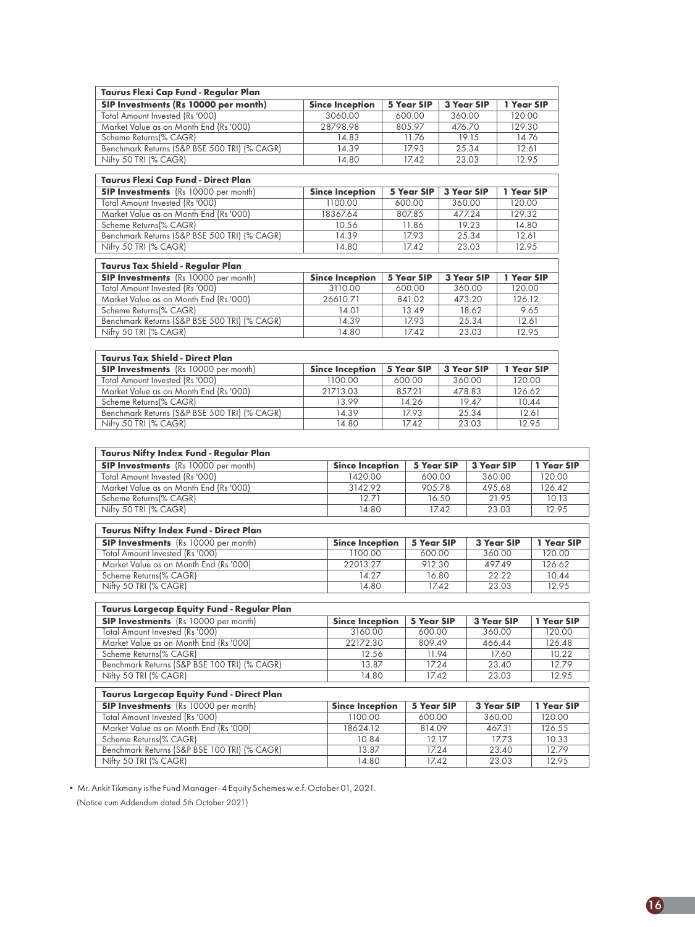| Taurus Flexi Cap Fund - Regular Plan                                                  |                        |                   |                   |                   |                   |            |
|---------------------------------------------------------------------------------------|------------------------|-------------------|-------------------|-------------------|-------------------|------------|
| SIP Investments (Rs 10000 per month)                                                  | <b>Since Inception</b> | 5 Year SIP        | <b>3 Year SIP</b> |                   | 1 Year SIP        |            |
| <b>Total Amount Invested (Rs '000)</b>                                                | 3060.00                | 600.00            | 360.00            |                   | 120.00            |            |
| Market Value as on Month End (Rs '000)                                                | 28798.98               | 805.97            | 476.70            |                   | 129.30            |            |
| Scheme Returns(% CAGR)                                                                | 14.83                  | 11.76             |                   | 19.15             | 14.76             |            |
| Benchmark Returns (S&P BSE 500 TRI) (% CAGR)                                          | 14.39                  | 17.93             |                   | 25.34             | 12.61             |            |
| Nifty 50 TRI (% CAGR)                                                                 | 14.80                  | 17.42             | 23.03             |                   | 12.95             |            |
|                                                                                       |                        |                   |                   |                   |                   |            |
| Taurus Flexi Cap Fund - Direct Plan                                                   |                        |                   |                   |                   |                   |            |
| <b>SIP Investments</b> (Rs 10000 per month)                                           | <b>Since Inception</b> | 5 Year SIP        | <b>3 Year SIP</b> |                   | 1 Year SIP        |            |
| <b>Total Amount Invested (Rs '000)</b>                                                | 1100.00                | 600.00            | 360.00            |                   | 120.00            |            |
| Market Value as on Month End (Rs '000)                                                | 18367.64               | 807.85            | 477.24            |                   | 129.32            |            |
| Scheme Returns(% CAGR)                                                                | 10.56                  | 11.86             |                   | 19.23             | 14.80             |            |
| Benchmark Returns (S&P BSE 500 TRI) (% CAGR)                                          | 14.39                  | 17.93<br>17.42    |                   | 25.34             | 12.61             |            |
| Nifty 50 TRI (% CAGR)                                                                 | 14.80                  |                   |                   | 23.03             | 12.95             |            |
| Taurus Tax Shield - Regular Plan                                                      |                        |                   |                   |                   |                   |            |
| <b>SIP Investments</b> (Rs 10000 per month)                                           | <b>Since Inception</b> | <b>5 Year SIP</b> | <b>3 Year SIP</b> |                   | 1 Year SIP        |            |
| Total Amount Invested (Rs '000)                                                       | 3110.00                | 600.00            |                   | 360.00            | 120.00            |            |
| Market Value as on Month End (Rs '000)                                                | 26610.71               | 841.02            |                   | 473.20            | 126.12            |            |
| Scheme Returns(% CAGR)                                                                | 14.01                  | 13.49             |                   | 18.62             |                   | 9.65       |
| Benchmark Returns (S&P BSE 500 TRI) (% CAGR)                                          | 14.39                  | 17.93             |                   | 25.34             | 12.61             |            |
| Nifty 50 TRI (% CAGR)                                                                 | 14.80                  | 17.42             |                   | 23.03             | 12.95             |            |
|                                                                                       |                        |                   |                   |                   |                   |            |
| <b>Taurus Tax Shield - Direct Plan</b>                                                | <b>Since Inception</b> |                   | 3 Year SIP        |                   |                   |            |
| <b>SIP Investments</b> (Rs 10000 per month)                                           |                        | <b>5 Year SIP</b> |                   |                   | 1 Year SIP        |            |
| Total Amount Invested (Rs '000)                                                       | 1100.00<br>21713.03    | 600.00            | 360.00            |                   | 120.00            |            |
| Market Value as on Month End (Rs '000)<br>Scheme Returns(% CAGR)                      | 13.99                  | 857.21<br>14.26   | 478.83            | 19.47             | 126.62            |            |
| Benchmark Returns (S&P BSE 500 TRI) (% CAGR)                                          | 14.39                  | 17.93             |                   | 25.34             | 10.44<br>12.61    |            |
| Nifty 50 TRI (% CAGR)                                                                 | 14.80                  | 17.42             |                   | 23.03             |                   | 12.95      |
| Taurus Nifty Index Fund - Regular Plan<br><b>SIP Investments</b> (Rs 10000 per month) | <b>Since Inception</b> | 5 Year SIP        |                   | <b>3 Year SIP</b> |                   | 1 Year SIP |
| <b>Total Amount Invested (Rs '000)</b>                                                | 1420.00                | 600.00            |                   |                   | 360.00            | 120.00     |
| Market Value as on Month End (Rs '000)                                                | 3142.92                | 905.78            |                   |                   | 495.68            | 126.42     |
| Scheme Returns(% CAGR)                                                                | 12.71                  |                   | 16.50             |                   | 21.95             | 10.13      |
| Nifty 50 TRI (% CAGR)                                                                 | 14.80                  |                   | 17.42             |                   | 23.03             | 12.95      |
| Taurus Nifty Index Fund - Direct Plan                                                 |                        |                   |                   |                   |                   |            |
| <b>SIP Investments</b> (Rs 10000 per month)                                           | <b>Since Inception</b> | <b>5 Year SIP</b> |                   |                   | 3 Year SIP        | 1 Year SIP |
| <b>Total Amount Invested (Rs '000)</b>                                                | 1100.00                | 600.00            |                   |                   | 360.00            | 120.00     |
| Market Value as on Month End (Rs '000)                                                | 22013.27               | 912.30            |                   |                   | 497.49            | 126.62     |
| Scheme Returns(% CAGR)                                                                | 14.27                  |                   | 16.80             |                   | 22.22             | 10.44      |
| Nifty 50 TRI (% CAGR)                                                                 | 14.80                  |                   | 17.42             |                   | 23.03             | 12.95      |
| $\mid$ Taurus Largecap Equity Fund - Regular Plan                                     |                        |                   |                   |                   |                   |            |
| <b>SIP Investments</b> (Rs 10000 per month)                                           | <b>Since Inception</b> | <b>5 Year SIP</b> |                   | <b>3 Year SIP</b> |                   | 1 Year SIP |
| Total Amount Invested (Rs '000)                                                       | 3160.00                | 600.00            |                   |                   | 360.00            | 120.00     |
| Market Value as on Month End (Rs '000)                                                | 22172.30               | 809.49            |                   |                   | 466.44            | 126.48     |
| Scheme Returns(% CAGR)                                                                | 12.56                  | 11.94             |                   |                   | 17.60             | 10.22      |
| Benchmark Returns (S&P BSE 100 TRI) (% CAGR)                                          | 13.87                  | 17.24             |                   |                   | 23.40             | 12.79      |
| Nifty 50 TRI (% CAGR)                                                                 | 14.80                  | 17.42             |                   |                   | 23.03             | 12.95      |
| Taurus Largecap Equity Fund - Direct Plan                                             |                        |                   |                   |                   |                   |            |
| <b>SIP Investments</b> (Rs 10000 per month)                                           | <b>Since Inception</b> | 5 Year SIP        |                   |                   | <b>3 Year SIP</b> | 1 Year SIP |
| Total Amount Invested (Rs '000)                                                       | 1100.00                | 600.00            |                   |                   | 360.00            | 120.00     |
| Market Value as on Month End (Rs '000)                                                | 18624.12               | 814.09            |                   |                   | 467.31            | 126.55     |
| Scheme Returns(% CAGR)                                                                | 10.84                  | 12.17             |                   |                   | 17.73             | 10.33      |
| Benchmark Returns (S&P BSE 100 TRI) (% CAGR)                                          | 13.87                  | 17.24             |                   |                   | 23.40             | 12.79      |
| Nifty 50 TRI (% CAGR)                                                                 | 14.80                  | 17.42             |                   |                   | 23.03             | 12.95      |
|                                                                                       |                        |                   |                   |                   |                   |            |

• Mr. Ankit Tikmany is the Fund Manager - 4 Equity Schemes w.e.f. October 01, 2021. (Notice cum Addendum dated 5th October 2021)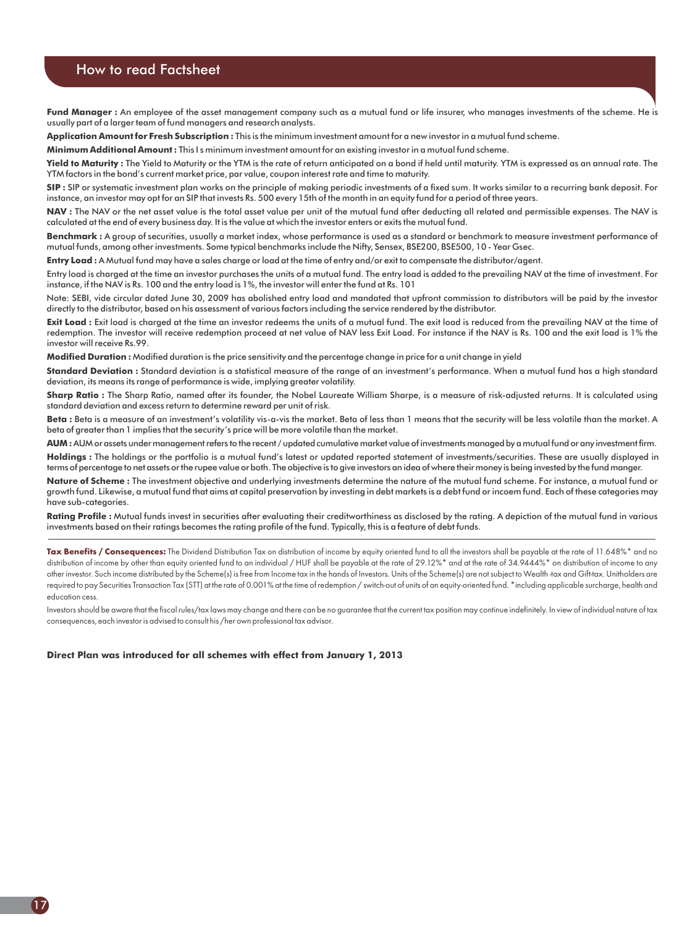#### How to read Factsheet

Fund Manager : An employee of the asset management company such as a mutual fund or life insurer, who manages investments of the scheme. He is usually part of a larger team of fund managers and research analysts.

**Application Amount for Fresh Subscription :** This is the minimum investment amount for a new investor in a mutual fund scheme.

**Minimum Additional Amount :** This I s minimum investment amount for an existing investor in a mutual fund scheme.

**Yield to Maturity :** The Yield to Maturity or the YTM is the rate of return anticipated on a bond if held until maturity. YTM is expressed as an annual rate. The YTM factors in the bond's current market price, par value, coupon interest rate and time to maturity.

**SIP :** SIP or systematic investment plan works on the principle of making periodic investments of a fixed sum. It works similar to a recurring bank deposit. For instance, an investor may opt for an SIP that invests Rs. 500 every 15th of the month in an equity fund for a period of three years.

NAV : The NAV or the net asset value is the total asset value per unit of the mutual fund after deducting all related and permissible expenses. The NAV is calculated at the end of every business day. It is the value at which the investor enters or exits the mutual fund.

**Benchmark :** A group of securities, usually a market index, whose performance is used as a standard or benchmark to measure investment performance of mutual funds, among other investments. Some typical benchmarks include the Nifty, Sensex, BSE200, BSE500, 10 - Year Gsec.

**Entry Load :** A Mutual fund may have a sales charge or load at the time of entry and/or exit to compensate the distributor/agent.

Entry load is charged at the time an investor purchases the units of a mutual fund. The entry load is added to the prevailing NAV at the time of investment. For instance, if the NAV is Rs. 100 and the entry load is 1%, the investor will enter the fund at Rs. 101

Note: SEBI, vide circular dated June 30, 2009 has abolished entry load and mandated that upfront commission to distributors will be paid by the investor directly to the distributor, based on his assessment of various factors including the service rendered by the distributor.

**Exit Load :** Exit load is charged at the time an investor redeems the units of a mutual fund. The exit load is reduced from the prevailing NAV at the time of redemption. The investor will receive redemption proceed at net value of NAV less Exit Load. For instance if the NAV is Rs. 100 and the exit load is 1% the investor will receive Rs.99.

**Modified Duration :** Modified duration is the price sensitivity and the percentage change in price for a unit change in yield

**Standard Deviation :** Standard deviation is a statistical measure of the range of an investment's performance. When a mutual fund has a high standard deviation, its means its range of performance is wide, implying greater volatility.

**Sharp Ratio :** The Sharp Ratio, named after its founder, the Nobel Laureate William Sharpe, is a measure of risk-adjusted returns. It is calculated using standard deviation and excess return to determine reward per unit of risk.

**Beta :** Beta is a measure of an investment's volatility vis-a-vis the market. Beta of less than 1 means that the security will be less volatile than the market. A beta of greater than 1 implies that the security's price will be more volatile than the market.

**AUM :**AUM or assets under managementrefers to the recent / updated cumulative market value ofinvestments managed by a mutualfund or any investmentfirm. **Holdings :** The holdings or the portfolio is a mutual fund's latest or updated reported statement of investments/securities. These are usually displayed in terms of percentage to net assets orthe rupee value or both. The objective is to give investors an idea of where their money is being invested by the fund manger.

**Nature of Scheme :** The investment objective and underlying investments determine the nature of the mutual fund scheme. For instance, a mutual fund or growth fund. Likewise, a mutual fund that aims at capital preservation by investing in debt markets is a debt fund or incoem fund. Each of these categories may have sub-categories.

Rating Profile : Mutual funds invest in securities after evaluating their creditworthiness as disclosed by the rating. A depiction of the mutual fund in various investments based on their ratings becomes the rating profile of the fund. Typically, this is a feature of debt funds.

**Tax Benefits / Consequences:** The Dividend Distribution Tax on distribution of income by equity oriented fund to all the investors shall be payable at the rate of 11.648%\* and no distribution of income by other than equity oriented fund to an individual / HUF shall be payable at the rate of 29.12%\* and at the rate of 34.9444%\* on distribution of income to any other investor. Such income distributed by the Scheme(s) is free from Income tax in the hands of Investors. Units of the Scheme(s) are not subject to Wealth -tax and Gift-tax. Unitholders are required to pay Securities Transaction Tax (STT) at the rate of 0.001% at the time of redemption / switch-out of units of an equity-oriented fund. \*including applicable surcharge, health and education cess.

Investors should be aware that the fiscal rules/tax laws may change and there can be no guarantee that the current tax position may continue indefinitely. In view of individual nature of tax consequences, each investor is advised to consult his /her own professional tax advisor.

**Direct Plan was introduced for all schemes with effect from January 1, 2013**